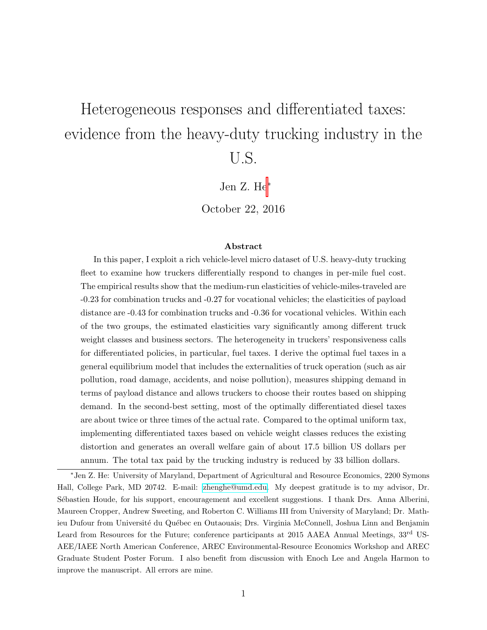# <span id="page-0-0"></span>Heterogeneous responses and differentiated taxes: evidence from the heavy-duty trucking industry in the U.S.

Jen Z. He<sup>∗</sup>

October 22, 2016

#### Abstract

In this paper, I exploit a rich vehicle-level micro dataset of U.S. heavy-duty trucking fleet to examine how truckers differentially respond to changes in per-mile fuel cost. The empirical results show that the medium-run elasticities of vehicle-miles-traveled are -0.23 for combination trucks and -0.27 for vocational vehicles; the elasticities of payload distance are -0.43 for combination trucks and -0.36 for vocational vehicles. Within each of the two groups, the estimated elasticities vary significantly among different truck weight classes and business sectors. The heterogeneity in truckers' responsiveness calls for differentiated policies, in particular, fuel taxes. I derive the optimal fuel taxes in a general equilibrium model that includes the externalities of truck operation (such as air pollution, road damage, accidents, and noise pollution), measures shipping demand in terms of payload distance and allows truckers to choose their routes based on shipping demand. In the second-best setting, most of the optimally differentiated diesel taxes are about twice or three times of the actual rate. Compared to the optimal uniform tax, implementing differentiated taxes based on vehicle weight classes reduces the existing distortion and generates an overall welfare gain of about 17.5 billion US dollars per annum. The total tax paid by the trucking industry is reduced by 33 billion dollars.

<sup>∗</sup>Jen Z. He: University of Maryland, Department of Agricultural and Resource Economics, 2200 Symons Hall, College Park, MD 20742. E-mail: [zhenghe@umd.edu.](mailto:zhenghe@umd.edu) My deepest gratitude is to my advisor, Dr. Sébastien Houde, for his support, encouragement and excellent suggestions. I thank Drs. Anna Alberini, Maureen Cropper, Andrew Sweeting, and Roberton C. Williams III from University of Maryland; Dr. Mathieu Dufour from Université du Québec en Outaouais; Drs. Virginia McConnell, Joshua Linn and Benjamin Leard from Resources for the Future; conference participants at 2015 AAEA Annual Meetings, 33<sup>rd</sup> US-AEE/IAEE North American Conference, AREC Environmental-Resource Economics Workshop and AREC Graduate Student Poster Forum. I also benefit from discussion with Enoch Lee and Angela Harmon to improve the manuscript. All errors are mine.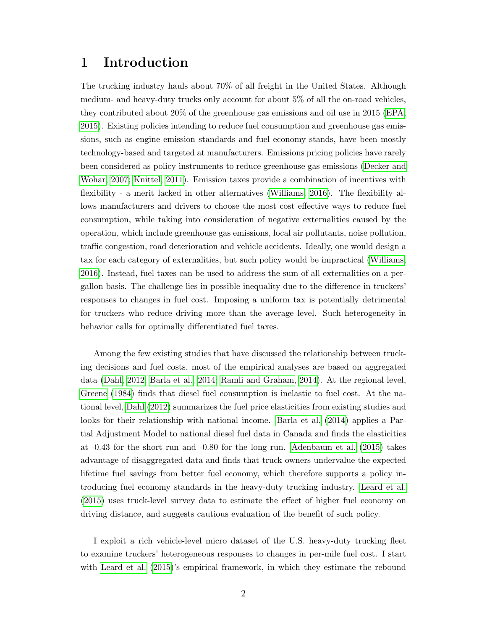## <span id="page-1-0"></span>1 Introduction

The trucking industry hauls about 70% of all freight in the United States. Although medium- and heavy-duty trucks only account for about 5% of all the on-road vehicles, they contributed about 20% of the greenhouse gas emissions and oil use in 2015 [\(EPA,](#page-50-0) [2015\)](#page-50-0). Existing policies intending to reduce fuel consumption and greenhouse gas emissions, such as engine emission standards and fuel economy stands, have been mostly technology-based and targeted at manufacturers. Emissions pricing policies have rarely been considered as policy instruments to reduce greenhouse gas emissions [\(Decker and](#page-50-1) [Wohar, 2007;](#page-50-1) [Knittel, 2011\)](#page-51-0). Emission taxes provide a combination of incentives with flexibility - a merit lacked in other alternatives [\(Williams, 2016\)](#page-51-1). The flexibility allows manufacturers and drivers to choose the most cost effective ways to reduce fuel consumption, while taking into consideration of negative externalities caused by the operation, which include greenhouse gas emissions, local air pollutants, noise pollution, traffic congestion, road deterioration and vehicle accidents. Ideally, one would design a tax for each category of externalities, but such policy would be impractical [\(Williams,](#page-51-1) [2016\)](#page-51-1). Instead, fuel taxes can be used to address the sum of all externalities on a pergallon basis. The challenge lies in possible inequality due to the difference in truckers' responses to changes in fuel cost. Imposing a uniform tax is potentially detrimental for truckers who reduce driving more than the average level. Such heterogeneity in behavior calls for optimally differentiated fuel taxes.

Among the few existing studies that have discussed the relationship between trucking decisions and fuel costs, most of the empirical analyses are based on aggregated data [\(Dahl, 2012;](#page-50-2) [Barla et al., 2014;](#page-50-3) [Ramli and Graham, 2014\)](#page-51-2). At the regional level, [Greene](#page-51-3) [\(1984\)](#page-51-3) finds that diesel fuel consumption is inelastic to fuel cost. At the national level, [Dahl](#page-50-2) [\(2012\)](#page-50-2) summarizes the fuel price elasticities from existing studies and looks for their relationship with national income. [Barla et al.](#page-50-3) [\(2014\)](#page-50-3) applies a Partial Adjustment Model to national diesel fuel data in Canada and finds the elasticities at -0.43 for the short run and -0.80 for the long run. [Adenbaum et al.](#page-50-4) [\(2015\)](#page-50-4) takes advantage of disaggregated data and finds that truck owners undervalue the expected lifetime fuel savings from better fuel economy, which therefore supports a policy introducing fuel economy standards in the heavy-duty trucking industry. [Leard et al.](#page-51-4) [\(2015\)](#page-51-4) uses truck-level survey data to estimate the effect of higher fuel economy on driving distance, and suggests cautious evaluation of the benefit of such policy.

I exploit a rich vehicle-level micro dataset of the U.S. heavy-duty trucking fleet to examine truckers' heterogeneous responses to changes in per-mile fuel cost. I start with [Leard et al.](#page-51-4) [\(2015\)](#page-51-4)'s empirical framework, in which they estimate the rebound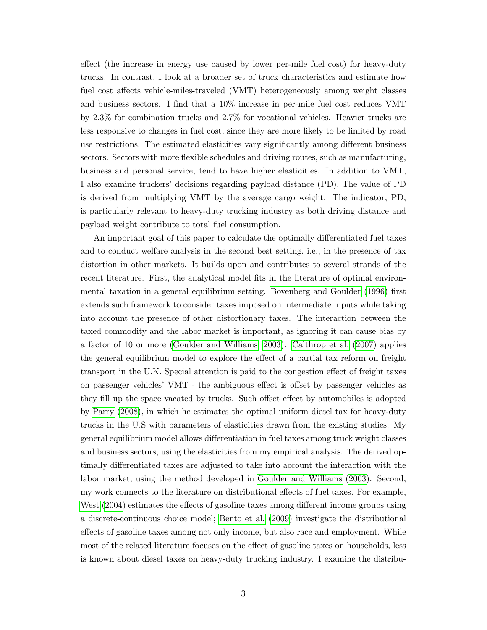effect (the increase in energy use caused by lower per-mile fuel cost) for heavy-duty trucks. In contrast, I look at a broader set of truck characteristics and estimate how fuel cost affects vehicle-miles-traveled (VMT) heterogeneously among weight classes and business sectors. I find that a 10% increase in per-mile fuel cost reduces VMT by 2.3% for combination trucks and 2.7% for vocational vehicles. Heavier trucks are less responsive to changes in fuel cost, since they are more likely to be limited by road use restrictions. The estimated elasticities vary significantly among different business sectors. Sectors with more flexible schedules and driving routes, such as manufacturing, business and personal service, tend to have higher elasticities. In addition to VMT, I also examine truckers' decisions regarding payload distance (PD). The value of PD is derived from multiplying VMT by the average cargo weight. The indicator, PD, is particularly relevant to heavy-duty trucking industry as both driving distance and payload weight contribute to total fuel consumption.

An important goal of this paper to calculate the optimally differentiated fuel taxes and to conduct welfare analysis in the second best setting, i.e., in the presence of tax distortion in other markets. It builds upon and contributes to several strands of the recent literature. First, the analytical model fits in the literature of optimal environmental taxation in a general equilibrium setting. [Bovenberg and Goulder](#page-50-5) [\(1996\)](#page-50-5) first extends such framework to consider taxes imposed on intermediate inputs while taking into account the presence of other distortionary taxes. The interaction between the taxed commodity and the labor market is important, as ignoring it can cause bias by a factor of 10 or more [\(Goulder and Williams, 2003\)](#page-50-6). [Calthrop et al.](#page-50-7) [\(2007\)](#page-50-7) applies the general equilibrium model to explore the effect of a partial tax reform on freight transport in the U.K. Special attention is paid to the congestion effect of freight taxes on passenger vehicles' VMT - the ambiguous effect is offset by passenger vehicles as they fill up the space vacated by trucks. Such offset effect by automobiles is adopted by [Parry](#page-51-5) [\(2008\)](#page-51-5), in which he estimates the optimal uniform diesel tax for heavy-duty trucks in the U.S with parameters of elasticities drawn from the existing studies. My general equilibrium model allows differentiation in fuel taxes among truck weight classes and business sectors, using the elasticities from my empirical analysis. The derived optimally differentiated taxes are adjusted to take into account the interaction with the labor market, using the method developed in [Goulder and Williams](#page-50-6) [\(2003\)](#page-50-6). Second, my work connects to the literature on distributional effects of fuel taxes. For example, [West](#page-51-6) [\(2004\)](#page-51-6) estimates the effects of gasoline taxes among different income groups using a discrete-continuous choice model; [Bento et al.](#page-50-8) [\(2009\)](#page-50-8) investigate the distributional effects of gasoline taxes among not only income, but also race and employment. While most of the related literature focuses on the effect of gasoline taxes on households, less is known about diesel taxes on heavy-duty trucking industry. I examine the distribu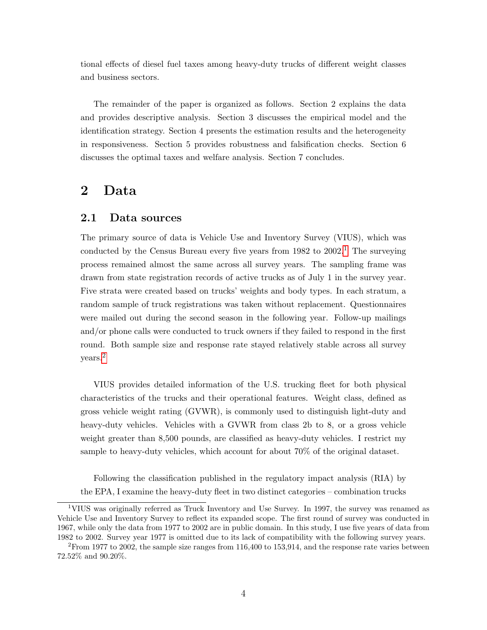tional effects of diesel fuel taxes among heavy-duty trucks of different weight classes and business sectors.

The remainder of the paper is organized as follows. Section 2 explains the data and provides descriptive analysis. Section 3 discusses the empirical model and the identification strategy. Section 4 presents the estimation results and the heterogeneity in responsiveness. Section 5 provides robustness and falsification checks. Section 6 discusses the optimal taxes and welfare analysis. Section 7 concludes.

## <span id="page-3-0"></span>2 Data

#### 2.1 Data sources

The primary source of data is Vehicle Use and Inventory Survey (VIUS), which was conducted by the Census Bureau every five years from  $1982$  $1982$  to  $2002<sup>1</sup>$ . The surveying process remained almost the same across all survey years. The sampling frame was drawn from state registration records of active trucks as of July 1 in the survey year. Five strata were created based on trucks' weights and body types. In each stratum, a random sample of truck registrations was taken without replacement. Questionnaires were mailed out during the second season in the following year. Follow-up mailings and/or phone calls were conducted to truck owners if they failed to respond in the first round. Both sample size and response rate stayed relatively stable across all survey years.[2](#page-0-0)

VIUS provides detailed information of the U.S. trucking fleet for both physical characteristics of the trucks and their operational features. Weight class, defined as gross vehicle weight rating (GVWR), is commonly used to distinguish light-duty and heavy-duty vehicles. Vehicles with a GVWR from class 2b to 8, or a gross vehicle weight greater than 8,500 pounds, are classified as heavy-duty vehicles. I restrict my sample to heavy-duty vehicles, which account for about 70% of the original dataset.

Following the classification published in the regulatory impact analysis (RIA) by the EPA, I examine the heavy-duty fleet in two distinct categories – combination trucks

<sup>1</sup>VIUS was originally referred as Truck Inventory and Use Survey. In 1997, the survey was renamed as Vehicle Use and Inventory Survey to reflect its expanded scope. The first round of survey was conducted in 1967, while only the data from 1977 to 2002 are in public domain. In this study, I use five years of data from 1982 to 2002. Survey year 1977 is omitted due to its lack of compatibility with the following survey years.

<sup>2</sup>From 1977 to 2002, the sample size ranges from 116,400 to 153,914, and the response rate varies between 72.52% and 90.20%.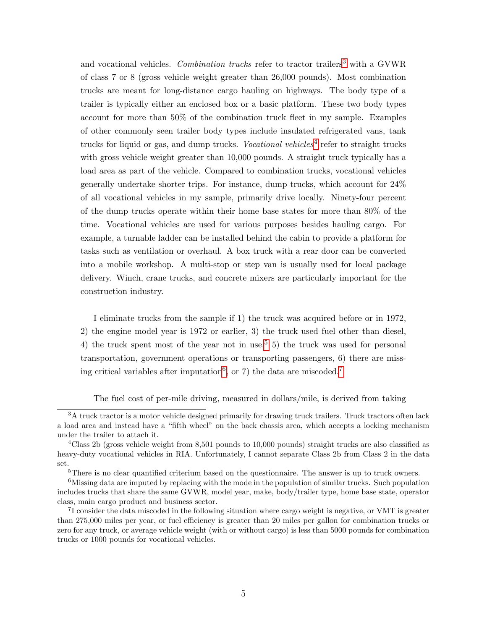and vocational vehicles. Combination trucks refer to tractor trailers<sup>[3](#page-0-0)</sup> with a GVWR of class 7 or 8 (gross vehicle weight greater than 26,000 pounds). Most combination trucks are meant for long-distance cargo hauling on highways. The body type of a trailer is typically either an enclosed box or a basic platform. These two body types account for more than 50% of the combination truck fleet in my sample. Examples of other commonly seen trailer body types include insulated refrigerated vans, tank trucks for liquid or gas, and dump trucks. Vocational vehicles<sup>[4](#page-0-0)</sup> refer to straight trucks with gross vehicle weight greater than 10,000 pounds. A straight truck typically has a load area as part of the vehicle. Compared to combination trucks, vocational vehicles generally undertake shorter trips. For instance, dump trucks, which account for 24% of all vocational vehicles in my sample, primarily drive locally. Ninety-four percent of the dump trucks operate within their home base states for more than 80% of the time. Vocational vehicles are used for various purposes besides hauling cargo. For example, a turnable ladder can be installed behind the cabin to provide a platform for tasks such as ventilation or overhaul. A box truck with a rear door can be converted into a mobile workshop. A multi-stop or step van is usually used for local package delivery. Winch, crane trucks, and concrete mixers are particularly important for the construction industry.

I eliminate trucks from the sample if 1) the truck was acquired before or in 1972, 2) the engine model year is 1972 or earlier, 3) the truck used fuel other than diesel, 4) the truck spent most of the year not in use,<sup>[5](#page-0-0)</sup> 5) the truck was used for personal transportation, government operations or transporting passengers, 6) there are miss-ing critical variables after imputation<sup>[6](#page-0-0)</sup>, or [7](#page-0-0)) the data are miscoded.<sup>7</sup>

The fuel cost of per-mile driving, measured in dollars/mile, is derived from taking

<sup>&</sup>lt;sup>3</sup>A truck tractor is a motor vehicle designed primarily for drawing truck trailers. Truck tractors often lack a load area and instead have a "fifth wheel" on the back chassis area, which accepts a locking mechanism under the trailer to attach it.

<sup>&</sup>lt;sup>4</sup>Class 2b (gross vehicle weight from 8,501 pounds to 10,000 pounds) straight trucks are also classified as heavy-duty vocational vehicles in RIA. Unfortunately, I cannot separate Class 2b from Class 2 in the data set.

<sup>&</sup>lt;sup>5</sup>There is no clear quantified criterium based on the questionnaire. The answer is up to truck owners.

<sup>6</sup>Missing data are imputed by replacing with the mode in the population of similar trucks. Such population includes trucks that share the same GVWR, model year, make, body/trailer type, home base state, operator class, main cargo product and business sector.

<sup>&</sup>lt;sup>7</sup>I consider the data miscoded in the following situation where cargo weight is negative, or VMT is greater than 275,000 miles per year, or fuel efficiency is greater than 20 miles per gallon for combination trucks or zero for any truck, or average vehicle weight (with or without cargo) is less than 5000 pounds for combination trucks or 1000 pounds for vocational vehicles.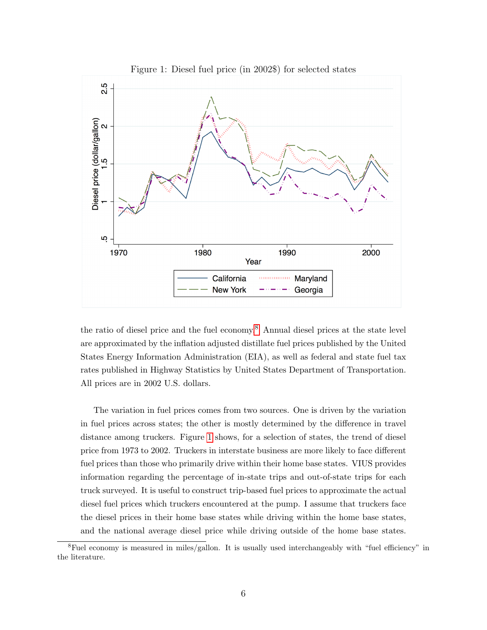

<span id="page-5-0"></span>Figure 1: Diesel fuel price (in 2002\$) for selected states

the ratio of diesel price and the fuel economy.[8](#page-0-0) Annual diesel prices at the state level are approximated by the inflation adjusted distillate fuel prices published by the United States Energy Information Administration (EIA), as well as federal and state fuel tax rates published in Highway Statistics by United States Department of Transportation. All prices are in 2002 U.S. dollars.

The variation in fuel prices comes from two sources. One is driven by the variation in fuel prices across states; the other is mostly determined by the difference in travel distance among truckers. Figure [1](#page-5-0) shows, for a selection of states, the trend of diesel price from 1973 to 2002. Truckers in interstate business are more likely to face different fuel prices than those who primarily drive within their home base states. VIUS provides information regarding the percentage of in-state trips and out-of-state trips for each truck surveyed. It is useful to construct trip-based fuel prices to approximate the actual diesel fuel prices which truckers encountered at the pump. I assume that truckers face the diesel prices in their home base states while driving within the home base states, and the national average diesel price while driving outside of the home base states.

<sup>8</sup>Fuel economy is measured in miles/gallon. It is usually used interchangeably with "fuel efficiency" in the literature.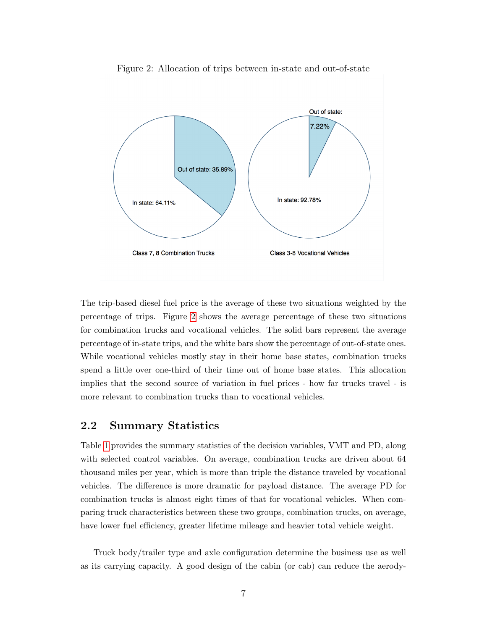

<span id="page-6-0"></span>Figure 2: Allocation of trips between in-state and out-of-state

The trip-based diesel fuel price is the average of these two situations weighted by the percentage of trips. Figure [2](#page-6-0) shows the average percentage of these two situations for combination trucks and vocational vehicles. The solid bars represent the average percentage of in-state trips, and the white bars show the percentage of out-of-state ones. While vocational vehicles mostly stay in their home base states, combination trucks spend a little over one-third of their time out of home base states. This allocation implies that the second source of variation in fuel prices - how far trucks travel - is more relevant to combination trucks than to vocational vehicles.

#### 2.2 Summary Statistics

Table [1](#page-7-0) provides the summary statistics of the decision variables, VMT and PD, along with selected control variables. On average, combination trucks are driven about 64 thousand miles per year, which is more than triple the distance traveled by vocational vehicles. The difference is more dramatic for payload distance. The average PD for combination trucks is almost eight times of that for vocational vehicles. When comparing truck characteristics between these two groups, combination trucks, on average, have lower fuel efficiency, greater lifetime mileage and heavier total vehicle weight.

Truck body/trailer type and axle configuration determine the business use as well as its carrying capacity. A good design of the cabin (or cab) can reduce the aerody-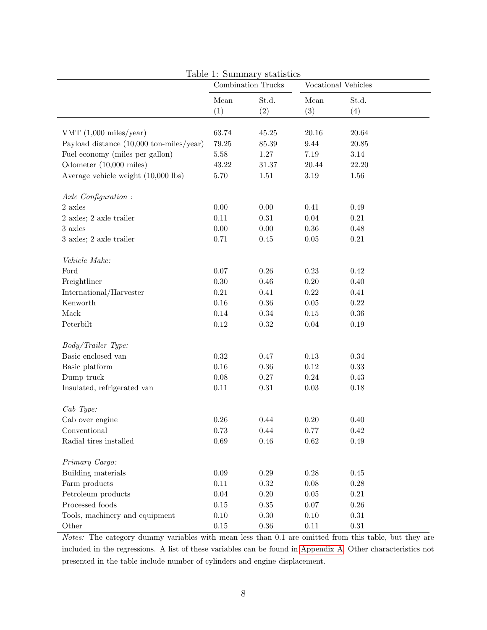|                                                                                       | $\mathbf{r}$ and $\mathbf{r}$ , $\mathbf{r}$ and $\mathbf{r}$ $\mathbf{r}$ are $\mathbf{r}$<br>Combination Trucks |                        |                   | Vocational Vehicles    |
|---------------------------------------------------------------------------------------|-------------------------------------------------------------------------------------------------------------------|------------------------|-------------------|------------------------|
|                                                                                       | Mean                                                                                                              | St.d.                  | Mean              | St.d.                  |
|                                                                                       | (1)                                                                                                               | (2)                    | (3)               | (4)                    |
| VMT $(1,000 \text{ miles/year})$                                                      |                                                                                                                   |                        |                   |                        |
|                                                                                       | 63.74<br>$79.25\,$                                                                                                | $45.25\,$<br>$85.39\,$ | 20.16<br>$9.44\,$ | $20.64\,$<br>$20.85\,$ |
| Payload distance $(10,000 \text{ ton-miles/year})$<br>Fuel economy (miles per gallon) | $5.58\,$                                                                                                          | 1.27                   | $7.19\,$          | 3.14                   |
|                                                                                       |                                                                                                                   |                        |                   |                        |
| Odometer (10,000 miles)                                                               | 43.22                                                                                                             | $31.37\,$              | 20.44             | 22.20                  |
| Average vehicle weight (10,000 lbs)                                                   | 5.70                                                                                                              | $1.51\,$               | $3.19\,$          | 1.56                   |
| Axle Configuration:                                                                   |                                                                                                                   |                        |                   |                        |
| $2$ axles                                                                             | $0.00\,$                                                                                                          | 0.00                   | 0.41              | $0.49\,$               |
| 2 axles; 2 axle trailer                                                               | 0.11                                                                                                              | 0.31                   | $0.04\,$          | $0.21\,$               |
| 3 axles                                                                               | 0.00                                                                                                              | 0.00                   | $0.36\,$          | 0.48                   |
| 3 axles; 2 axle trailer                                                               | 0.71                                                                                                              | 0.45                   | $0.05\,$          | $\rm 0.21$             |
| Vehicle Make:                                                                         |                                                                                                                   |                        |                   |                        |
| Ford                                                                                  | $0.07\,$                                                                                                          | $0.26\,$               | 0.23              | $\rm 0.42$             |
| Freightliner                                                                          | $0.30\,$                                                                                                          | 0.46                   | $0.20\,$          | 0.40                   |
| International/Harvester                                                               | $0.21\,$                                                                                                          | 0.41                   | 0.22              | 0.41                   |
| Kenworth                                                                              | $0.16\,$                                                                                                          | $0.36\,$               | $0.05\,$          | $0.22\,$               |
| Mack                                                                                  | $0.14\,$                                                                                                          | 0.34                   | $0.15\,$          | $0.36\,$               |
| Peterbilt                                                                             | $0.12\,$                                                                                                          | $0.32\,$               | $0.04\,$          | 0.19                   |
|                                                                                       |                                                                                                                   |                        |                   |                        |
| Body/Trailer Type:                                                                    |                                                                                                                   |                        |                   |                        |
| Basic enclosed van                                                                    | $0.32\,$                                                                                                          | 0.47                   | $0.13\,$          | $0.34\,$               |
| Basic platform                                                                        | $0.16\,$                                                                                                          | $0.36\,$               | $0.12\,$          | $0.33\,$               |
| Dump truck                                                                            | 0.08                                                                                                              | 0.27                   | $\rm 0.24$        | $0.43\,$               |
| Insulated, refrigerated van                                                           | $0.11\,$                                                                                                          | $0.31\,$               | $0.03\,$          | $0.18\,$               |
| $Cab$ Type:                                                                           |                                                                                                                   |                        |                   |                        |
| Cab over engine                                                                       | $0.26\,$                                                                                                          | 0.44                   | $0.20\,$          | 0.40                   |
| Conventional                                                                          | 0.73                                                                                                              | 0.44                   | 0.77              | 0.42                   |
| Radial tires installed                                                                | 0.69                                                                                                              | 0.46                   | $\,0.62\,$        | 0.49                   |
|                                                                                       |                                                                                                                   |                        |                   |                        |
| Primary Cargo:                                                                        |                                                                                                                   |                        |                   |                        |
| Building materials                                                                    | $0.09\,$                                                                                                          | 0.29                   | 0.28              | $0.45\,$               |
| Farm products                                                                         | 0.11                                                                                                              | 0.32                   | $0.08\,$          | 0.28                   |
| Petroleum products                                                                    | $0.04\,$                                                                                                          | $0.20\,$               | $0.05\,$          | $\rm 0.21$             |
| Processed foods                                                                       | $0.15\,$                                                                                                          | $0.35\,$               | $0.07\,$          | $0.26\,$               |
| Tools, machinery and equipment                                                        | $0.10\,$                                                                                                          | 0.30                   | $0.10\,$          | $0.31\,$               |
| Other                                                                                 | $0.15\,$                                                                                                          | $0.36\,$               | $0.11\,$          | $0.31\,$               |

<span id="page-7-0"></span>Table 1: Summary statistics

Notes: The category dummy variables with mean less than 0.1 are omitted from this table, but they are included in the regressions. A list of these variables can be found in [Appendix A.](#page-1-0) Other characteristics not presented in the table include number of cylinders and engine displacement.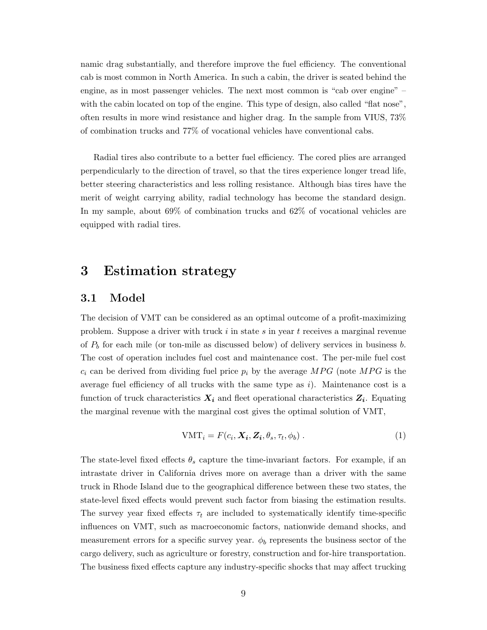namic drag substantially, and therefore improve the fuel efficiency. The conventional cab is most common in North America. In such a cabin, the driver is seated behind the engine, as in most passenger vehicles. The next most common is "cab over engine" – with the cabin located on top of the engine. This type of design, also called "flat nose", often results in more wind resistance and higher drag. In the sample from VIUS, 73% of combination trucks and 77% of vocational vehicles have conventional cabs.

Radial tires also contribute to a better fuel efficiency. The cored plies are arranged perpendicularly to the direction of travel, so that the tires experience longer tread life, better steering characteristics and less rolling resistance. Although bias tires have the merit of weight carrying ability, radial technology has become the standard design. In my sample, about 69% of combination trucks and 62% of vocational vehicles are equipped with radial tires.

### <span id="page-8-0"></span>3 Estimation strategy

#### 3.1 Model

The decision of VMT can be considered as an optimal outcome of a profit-maximizing problem. Suppose a driver with truck i in state s in year t receives a marginal revenue of  $P_b$  for each mile (or ton-mile as discussed below) of delivery services in business b. The cost of operation includes fuel cost and maintenance cost. The per-mile fuel cost  $c_i$  can be derived from dividing fuel price  $p_i$  by the average MPG (note MPG is the average fuel efficiency of all trucks with the same type as  $i$ ). Maintenance cost is a function of truck characteristics  $X_i$  and fleet operational characteristics  $Z_i$ . Equating the marginal revenue with the marginal cost gives the optimal solution of VMT,

$$
VMT_i = F(c_i, \mathbf{X_i}, \mathbf{Z_i}, \theta_s, \tau_t, \phi_b).
$$
 (1)

The state-level fixed effects  $\theta_s$  capture the time-invariant factors. For example, if an intrastate driver in California drives more on average than a driver with the same truck in Rhode Island due to the geographical difference between these two states, the state-level fixed effects would prevent such factor from biasing the estimation results. The survey year fixed effects  $\tau_t$  are included to systematically identify time-specific influences on VMT, such as macroeconomic factors, nationwide demand shocks, and measurement errors for a specific survey year.  $\phi_b$  represents the business sector of the cargo delivery, such as agriculture or forestry, construction and for-hire transportation. The business fixed effects capture any industry-specific shocks that may affect trucking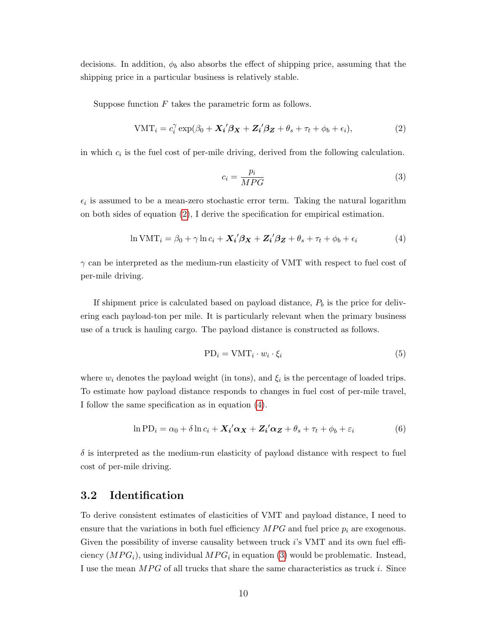decisions. In addition,  $\phi_b$  also absorbs the effect of shipping price, assuming that the shipping price in a particular business is relatively stable.

Suppose function  $F$  takes the parametric form as follows.

<span id="page-9-0"></span>
$$
VMT_i = c_i^{\gamma} \exp(\beta_0 + \mathbf{X_i}^{\prime} \boldsymbol{\beta_X} + \mathbf{Z_i}^{\prime} \boldsymbol{\beta_Z} + \theta_s + \tau_t + \phi_b + \epsilon_i),
$$
\n(2)

in which  $c_i$  is the fuel cost of per-mile driving, derived from the following calculation.

<span id="page-9-2"></span>
$$
c_i = \frac{p_i}{MPG} \tag{3}
$$

 $\epsilon_i$  is assumed to be a mean-zero stochastic error term. Taking the natural logarithm on both sides of equation [\(2\)](#page-9-0), I derive the specification for empirical estimation.

<span id="page-9-1"></span>
$$
\ln \text{VMT}_i = \beta_0 + \gamma \ln c_i + \mathbf{X_i'} \boldsymbol{\beta_X} + \mathbf{Z_i'} \boldsymbol{\beta_Z} + \theta_s + \tau_t + \phi_b + \epsilon_i
$$
 (4)

 $\gamma$  can be interpreted as the medium-run elasticity of VMT with respect to fuel cost of per-mile driving.

If shipment price is calculated based on payload distance,  $P_b$  is the price for delivering each payload-ton per mile. It is particularly relevant when the primary business use of a truck is hauling cargo. The payload distance is constructed as follows.

$$
PD_i = VMT_i \cdot w_i \cdot \xi_i \tag{5}
$$

where  $w_i$  denotes the payload weight (in tons), and  $\xi_i$  is the percentage of loaded trips. To estimate how payload distance responds to changes in fuel cost of per-mile travel, I follow the same specification as in equation [\(4\)](#page-9-1).

<span id="page-9-3"></span>
$$
\ln PD_i = \alpha_0 + \delta \ln c_i + \mathbf{X_i}' \alpha_{\mathbf{X}} + \mathbf{Z_i}' \alpha_{\mathbf{Z}} + \theta_s + \tau_t + \phi_b + \varepsilon_i \tag{6}
$$

 $\delta$  is interpreted as the medium-run elasticity of payload distance with respect to fuel cost of per-mile driving.

#### 3.2 Identification

To derive consistent estimates of elasticities of VMT and payload distance, I need to ensure that the variations in both fuel efficiency  $MPG$  and fuel price  $p_i$  are exogenous. Given the possibility of inverse causality between truck i's VMT and its own fuel efficiency  $(MPG<sub>i</sub>)$ , using individual  $MPG<sub>i</sub>$  in equation [\(3\)](#page-9-2) would be problematic. Instead, I use the mean  $MPG$  of all trucks that share the same characteristics as truck i. Since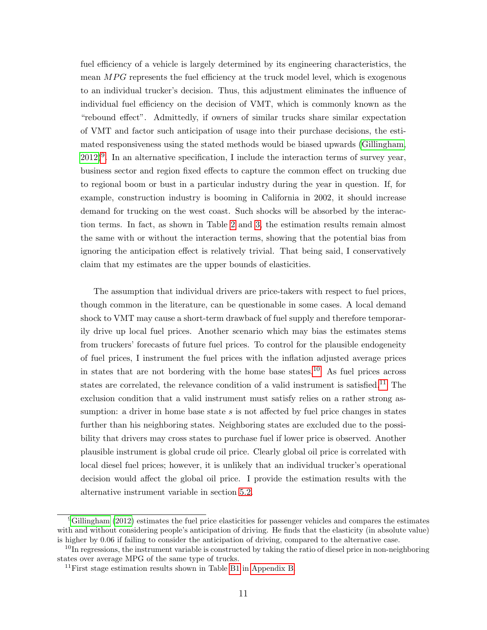fuel efficiency of a vehicle is largely determined by its engineering characteristics, the mean  $MPG$  represents the fuel efficiency at the truck model level, which is exogenous to an individual trucker's decision. Thus, this adjustment eliminates the influence of individual fuel efficiency on the decision of VMT, which is commonly known as the "rebound effect". Admittedly, if owners of similar trucks share similar expectation of VMT and factor such anticipation of usage into their purchase decisions, the estimated responsiveness using the stated methods would be biased upwards [\(Gillingham,](#page-50-9)  $(2012)^9$  $(2012)^9$  $(2012)^9$  $(2012)^9$ . In an alternative specification, I include the interaction terms of survey year, business sector and region fixed effects to capture the common effect on trucking due to regional boom or bust in a particular industry during the year in question. If, for example, construction industry is booming in California in 2002, it should increase demand for trucking on the west coast. Such shocks will be absorbed by the interaction terms. In fact, as shown in Table [2](#page-12-0) and [3,](#page-13-0) the estimation results remain almost the same with or without the interaction terms, showing that the potential bias from ignoring the anticipation effect is relatively trivial. That being said, I conservatively claim that my estimates are the upper bounds of elasticities.

The assumption that individual drivers are price-takers with respect to fuel prices, though common in the literature, can be questionable in some cases. A local demand shock to VMT may cause a short-term drawback of fuel supply and therefore temporarily drive up local fuel prices. Another scenario which may bias the estimates stems from truckers' forecasts of future fuel prices. To control for the plausible endogeneity of fuel prices, I instrument the fuel prices with the inflation adjusted average prices in states that are not bordering with the home base states.<sup>[10](#page-0-0)</sup> As fuel prices across states are correlated, the relevance condition of a valid instrument is satisfied.<sup>[11](#page-0-0)</sup> The exclusion condition that a valid instrument must satisfy relies on a rather strong assumption: a driver in home base state  $s$  is not affected by fuel price changes in states further than his neighboring states. Neighboring states are excluded due to the possibility that drivers may cross states to purchase fuel if lower price is observed. Another plausible instrument is global crude oil price. Clearly global oil price is correlated with local diesel fuel prices; however, it is unlikely that an individual trucker's operational decision would affect the global oil price. I provide the estimation results with the alternative instrument variable in section [5.2.](#page-19-0)

 $9$ [Gillingham](#page-50-9) [\(2012\)](#page-50-9) estimates the fuel price elasticities for passenger vehicles and compares the estimates with and without considering people's anticipation of driving. He finds that the elasticity (in absolute value) is higher by 0.06 if failing to consider the anticipation of driving, compared to the alternative case.

<sup>&</sup>lt;sup>10</sup>In regressions, the instrument variable is constructed by taking the ratio of diesel price in non-neighboring states over average MPG of the same type of trucks.

 $11$ First stage estimation results shown in Table [B1](#page-7-0) in [Appendix B.](#page-3-0)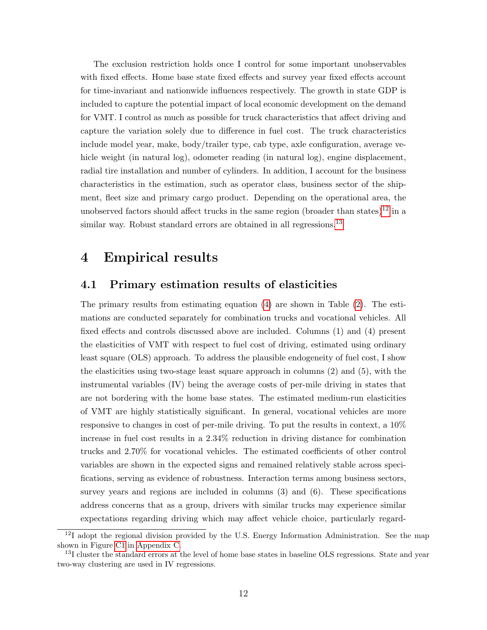The exclusion restriction holds once I control for some important unobservables with fixed effects. Home base state fixed effects and survey year fixed effects account for time-invariant and nationwide influences respectively. The growth in state GDP is included to capture the potential impact of local economic development on the demand for VMT. I control as much as possible for truck characteristics that affect driving and capture the variation solely due to difference in fuel cost. The truck characteristics include model year, make, body/trailer type, cab type, axle configuration, average vehicle weight (in natural log), odometer reading (in natural log), engine displacement, radial tire installation and number of cylinders. In addition, I account for the business characteristics in the estimation, such as operator class, business sector of the shipment, fleet size and primary cargo product. Depending on the operational area, the unobserved factors should affect trucks in the same region (broader than states)<sup>[12](#page-0-0)</sup> in a similar way. Robust standard errors are obtained in all regressions.<sup>[13](#page-0-0)</sup>

## <span id="page-11-0"></span>4 Empirical results

#### 4.1 Primary estimation results of elasticities

The primary results from estimating equation [\(4\)](#page-9-1) are shown in Table [\(2\)](#page-12-0). The estimations are conducted separately for combination trucks and vocational vehicles. All fixed effects and controls discussed above are included. Columns (1) and (4) present the elasticities of VMT with respect to fuel cost of driving, estimated using ordinary least square (OLS) approach. To address the plausible endogeneity of fuel cost, I show the elasticities using two-stage least square approach in columns (2) and (5), with the instrumental variables (IV) being the average costs of per-mile driving in states that are not bordering with the home base states. The estimated medium-run elasticities of VMT are highly statistically significant. In general, vocational vehicles are more responsive to changes in cost of per-mile driving. To put the results in context, a 10% increase in fuel cost results in a 2.34% reduction in driving distance for combination trucks and 2.70% for vocational vehicles. The estimated coefficients of other control variables are shown in the expected signs and remained relatively stable across specifications, serving as evidence of robustness. Interaction terms among business sectors, survey years and regions are included in columns  $(3)$  and  $(6)$ . These specifications address concerns that as a group, drivers with similar trucks may experience similar expectations regarding driving which may affect vehicle choice, particularly regard-

 $12$ I adopt the regional division provided by the U.S. Energy Information Administration. See the map shown in Figure [C1](#page-5-0) in [Appendix C.](#page-8-0)

<sup>&</sup>lt;sup>13</sup>I cluster the standard errors at the level of home base states in baseline OLS regressions. State and year two-way clustering are used in IV regressions.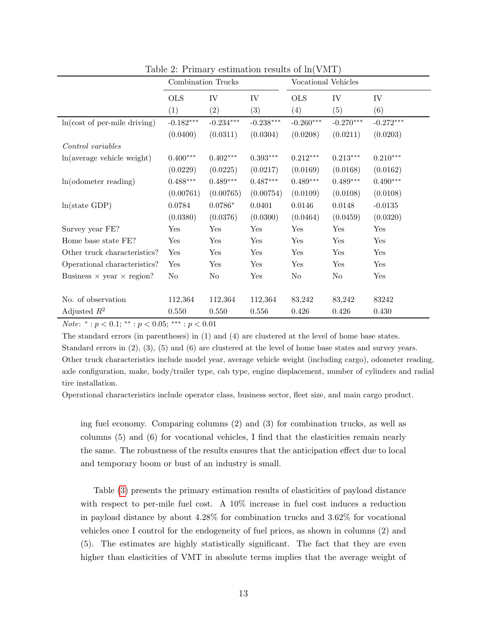|                                         | Combination Trucks |             | Vocational Vehicles |             |             |             |
|-----------------------------------------|--------------------|-------------|---------------------|-------------|-------------|-------------|
|                                         | <b>OLS</b>         | IV          | ${\rm IV}$          | <b>OLS</b>  | IV          | IV          |
|                                         | (1)                | (2)         | (3)                 | (4)         | (5)         | (6)         |
| $ln(cost of per-mile driving)$          | $-0.182***$        | $-0.234***$ | $-0.238***$         | $-0.260***$ | $-0.270***$ | $-0.272***$ |
|                                         | (0.0400)           | (0.0311)    | (0.0304)            | (0.0208)    | (0.0211)    | (0.0203)    |
| Control variables                       |                    |             |                     |             |             |             |
| ln(average vehicle weight)              | $0.400***$         | $0.402***$  | $0.393***$          | $0.212***$  | $0.213***$  | $0.210***$  |
|                                         | (0.0229)           | (0.0225)    | (0.0217)            | (0.0169)    | (0.0168)    | (0.0162)    |
| $ln($ odometer reading $)$              | $0.488***$         | $0.489***$  | $0.487***$          | $0.489***$  | $0.489***$  | $0.490***$  |
|                                         | (0.00761)          | (0.00765)   | (0.00754)           | (0.0109)    | (0.0108)    | (0.0108)    |
| ln(state GDP)                           | 0.0784             | $0.0786*$   | 0.0401              | 0.0146      | 0.0148      | $-0.0135$   |
|                                         | (0.0380)           | (0.0376)    | (0.0300)            | (0.0464)    | (0.0459)    | (0.0320)    |
| Survey year FE?                         | ${\hbox{Yes}}$     | Yes         | Yes                 | Yes         | Yes         | Yes         |
| Home base state FE?                     | Yes                | Yes         | Yes                 | Yes         | Yes         | Yes         |
| Other truck characteristics?            | Yes                | Yes         | Yes                 | Yes         | Yes         | Yes         |
| Operational characteristics?            | Yes                | Yes         | Yes                 | Yes         | Yes         | Yes         |
| Business $\times$ year $\times$ region? | No                 | No          | Yes                 | No          | $\rm No$    | Yes         |
|                                         |                    |             |                     |             |             |             |
| No. of observation                      | 112,364            | 112,364     | 112,364             | 83,242      | 83,242      | 83242       |
| Adjusted $R^2$                          | 0.550              | 0.550       | 0.556               | 0.426       | 0.426       | 0.430       |

<span id="page-12-0"></span>Table 2: Primary estimation results of ln(VMT)

Note: \*:  $p < 0.1$ ; \*\*:  $p < 0.05$ ; \*\*\*:  $p < 0.01$ 

The standard errors (in parentheses) in (1) and (4) are clustered at the level of home base states. Standard errors in (2), (3), (5) and (6) are clustered at the level of home base states and survey years. Other truck characteristics include model year, average vehicle weight (including cargo), odometer reading, axle configuration, make, body/trailer type, cab type, engine displacement, number of cylinders and radial tire installation.

Operational characteristics include operator class, business sector, fleet size, and main cargo product.

ing fuel economy. Comparing columns (2) and (3) for combination trucks, as well as columns (5) and (6) for vocational vehicles, I find that the elasticities remain nearly the same. The robustness of the results ensures that the anticipation effect due to local and temporary boom or bust of an industry is small.

Table [\(3\)](#page-13-0) presents the primary estimation results of elasticities of payload distance with respect to per-mile fuel cost. A 10% increase in fuel cost induces a reduction in payload distance by about 4.28% for combination trucks and 3.62% for vocational vehicles once I control for the endogeneity of fuel prices, as shown in columns (2) and (5). The estimates are highly statistically significant. The fact that they are even higher than elasticities of VMT in absolute terms implies that the average weight of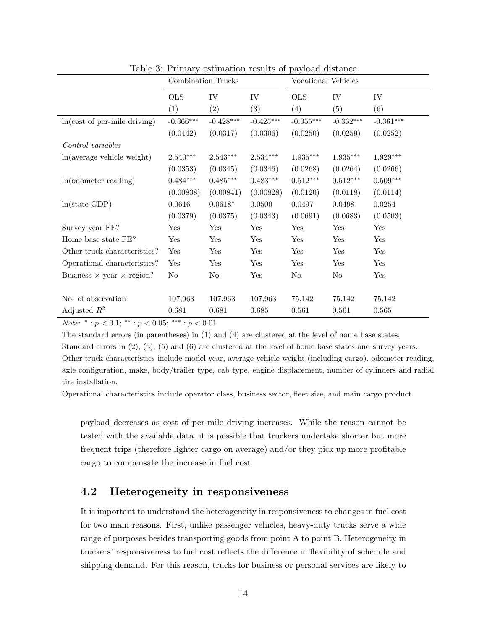|                                         | Combination Trucks |                   | Vocational Vehicles |             |             |             |
|-----------------------------------------|--------------------|-------------------|---------------------|-------------|-------------|-------------|
|                                         | <b>OLS</b>         | IV                | ${\rm IV}$          | <b>OLS</b>  | IV          | IV          |
|                                         | (1)                | $\left( 2\right)$ | (3)                 | (4)         | (5)         | (6)         |
| $ln(cost of per-mile driving)$          | $-0.366***$        | $-0.428***$       | $-0.425***$         | $-0.355***$ | $-0.362***$ | $-0.361***$ |
|                                         | (0.0442)           | (0.0317)          | (0.0306)            | (0.0250)    | (0.0259)    | (0.0252)    |
| Control variables                       |                    |                   |                     |             |             |             |
| ln(average vehicle weight)              | $2.540***$         | $2.543***$        | $2.534***$          | $1.935***$  | $1.935***$  | $1.929***$  |
|                                         | (0.0353)           | (0.0345)          | (0.0346)            | (0.0268)    | (0.0264)    | (0.0266)    |
| $ln($ odometer reading $)$              | $0.484***$         | $0.485***$        | $0.483***$          | $0.512***$  | $0.512***$  | $0.509***$  |
|                                         | (0.00838)          | (0.00841)         | (0.00828)           | (0.0120)    | (0.0118)    | (0.0114)    |
| ln(state GDP)                           | 0.0616             | $0.0618*$         | 0.0500              | 0.0497      | 0.0498      | 0.0254      |
|                                         | (0.0379)           | (0.0375)          | (0.0343)            | (0.0691)    | (0.0683)    | (0.0503)    |
| Survey year FE?                         | Yes                | Yes               | Yes                 | Yes         | Yes         | Yes         |
| Home base state FE?                     | Yes                | Yes               | Yes                 | Yes         | Yes         | Yes         |
| Other truck characteristics?            | Yes                | Yes               | Yes                 | Yes         | Yes         | Yes         |
| Operational characteristics?            | Yes                | Yes               | Yes                 | Yes         | Yes         | Yes         |
| Business $\times$ year $\times$ region? | No                 | N <sub>o</sub>    | Yes                 | No          | $\rm No$    | Yes         |
|                                         |                    |                   |                     |             |             |             |
| No. of observation                      | 107,963            | 107,963           | 107,963             | 75,142      | 75,142      | 75,142      |
| Adjusted $R^2$                          | 0.681              | 0.681             | 0.685               | 0.561       | 0.561       | 0.565       |

<span id="page-13-0"></span>Table 3: Primary estimation results of payload distance

*Note*:  $^*$  :  $p < 0.1$ ;  $^{**}$  :  $p < 0.05$ ;  $^{***}$  :  $p < 0.01$ 

The standard errors (in parentheses) in (1) and (4) are clustered at the level of home base states. Standard errors in (2), (3), (5) and (6) are clustered at the level of home base states and survey years. Other truck characteristics include model year, average vehicle weight (including cargo), odometer reading, axle configuration, make, body/trailer type, cab type, engine displacement, number of cylinders and radial tire installation.

Operational characteristics include operator class, business sector, fleet size, and main cargo product.

payload decreases as cost of per-mile driving increases. While the reason cannot be tested with the available data, it is possible that truckers undertake shorter but more frequent trips (therefore lighter cargo on average) and/or they pick up more profitable cargo to compensate the increase in fuel cost.

### 4.2 Heterogeneity in responsiveness

It is important to understand the heterogeneity in responsiveness to changes in fuel cost for two main reasons. First, unlike passenger vehicles, heavy-duty trucks serve a wide range of purposes besides transporting goods from point A to point B. Heterogeneity in truckers' responsiveness to fuel cost reflects the difference in flexibility of schedule and shipping demand. For this reason, trucks for business or personal services are likely to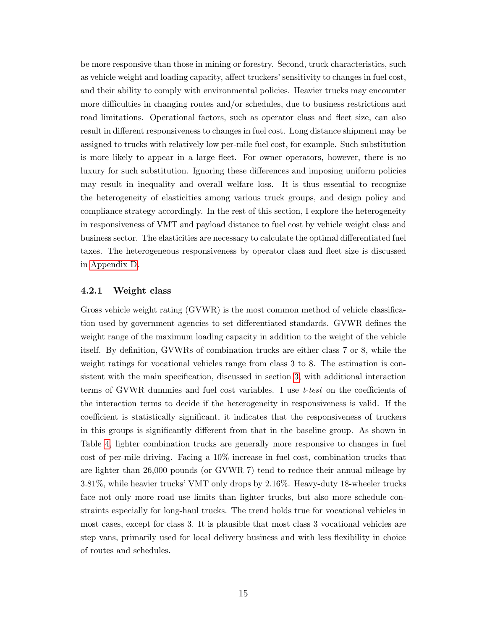be more responsive than those in mining or forestry. Second, truck characteristics, such as vehicle weight and loading capacity, affect truckers' sensitivity to changes in fuel cost, and their ability to comply with environmental policies. Heavier trucks may encounter more difficulties in changing routes and/or schedules, due to business restrictions and road limitations. Operational factors, such as operator class and fleet size, can also result in different responsiveness to changes in fuel cost. Long distance shipment may be assigned to trucks with relatively low per-mile fuel cost, for example. Such substitution is more likely to appear in a large fleet. For owner operators, however, there is no luxury for such substitution. Ignoring these differences and imposing uniform policies may result in inequality and overall welfare loss. It is thus essential to recognize the heterogeneity of elasticities among various truck groups, and design policy and compliance strategy accordingly. In the rest of this section, I explore the heterogeneity in responsiveness of VMT and payload distance to fuel cost by vehicle weight class and business sector. The elasticities are necessary to calculate the optimal differentiated fuel taxes. The heterogeneous responsiveness by operator class and fleet size is discussed in [Appendix D.](#page-11-0)

#### 4.2.1 Weight class

Gross vehicle weight rating (GVWR) is the most common method of vehicle classification used by government agencies to set differentiated standards. GVWR defines the weight range of the maximum loading capacity in addition to the weight of the vehicle itself. By definition, GVWRs of combination trucks are either class 7 or 8, while the weight ratings for vocational vehicles range from class 3 to 8. The estimation is consistent with the main specification, discussed in section [3,](#page-8-0) with additional interaction terms of GVWR dummies and fuel cost variables. I use *t-test* on the coefficients of the interaction terms to decide if the heterogeneity in responsiveness is valid. If the coefficient is statistically significant, it indicates that the responsiveness of truckers in this groups is significantly different from that in the baseline group. As shown in Table [4,](#page-15-0) lighter combination trucks are generally more responsive to changes in fuel cost of per-mile driving. Facing a 10% increase in fuel cost, combination trucks that are lighter than 26,000 pounds (or GVWR 7) tend to reduce their annual mileage by 3.81%, while heavier trucks' VMT only drops by 2.16%. Heavy-duty 18-wheeler trucks face not only more road use limits than lighter trucks, but also more schedule constraints especially for long-haul trucks. The trend holds true for vocational vehicles in most cases, except for class 3. It is plausible that most class 3 vocational vehicles are step vans, primarily used for local delivery business and with less flexibility in choice of routes and schedules.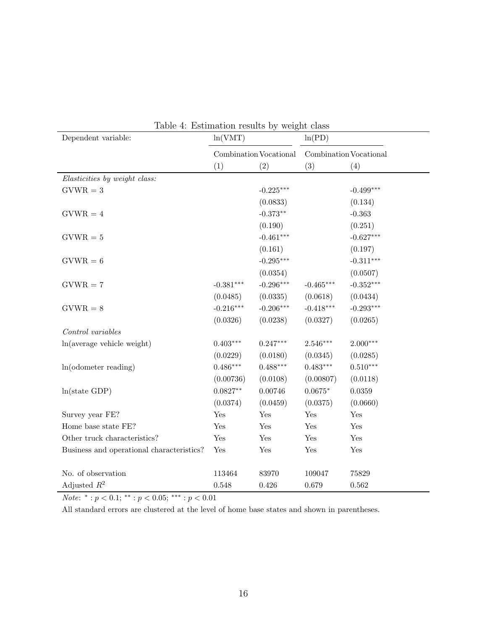| raoic 1. Estimation results by<br>Dependent variable: | ln(VMT)                |             | <i>w</i> U <sub>n</sub> tre Craw<br>ln(PD) |                        |
|-------------------------------------------------------|------------------------|-------------|--------------------------------------------|------------------------|
|                                                       | Combination Vocational |             |                                            | Combination Vocational |
|                                                       | (1)                    | (2)         | (3)                                        | (4)                    |
| Elasticities by weight class:                         |                        |             |                                            |                        |
| $GVWR = 3$                                            |                        | $-0.225***$ |                                            | $-0.499***$            |
|                                                       |                        | (0.0833)    |                                            | (0.134)                |
| $GVWR = 4$                                            |                        | $-0.373**$  |                                            | $-0.363$               |
|                                                       |                        | (0.190)     |                                            | (0.251)                |
| $GVWR = 5$                                            |                        | $-0.461***$ |                                            | $-0.627***$            |
|                                                       |                        | (0.161)     |                                            | (0.197)                |
| $GVWR = 6$                                            |                        | $-0.295***$ |                                            | $-0.311***$            |
|                                                       |                        | (0.0354)    |                                            | (0.0507)               |
| $GVWR = 7$                                            | $-0.381***$            | $-0.296***$ | $-0.465***$                                | $-0.352***$            |
|                                                       | (0.0485)               | (0.0335)    | (0.0618)                                   | (0.0434)               |
| $GVWR = 8$                                            | $-0.216***$            | $-0.206***$ | $-0.418***$                                | $-0.293***$            |
|                                                       | (0.0326)               | (0.0238)    | (0.0327)                                   | (0.0265)               |
| Control variables                                     |                        |             |                                            |                        |
| ln(average vehicle weight)                            | $0.403***$             | $0.247***$  | $2.546***$                                 | $2.000***$             |
|                                                       | (0.0229)               | (0.0180)    | (0.0345)                                   | (0.0285)               |
| $ln($ odometer reading $)$                            | $0.486***$             | $0.488***$  | $0.483***$                                 | $0.510***$             |
|                                                       | (0.00736)              | (0.0108)    | (0.00807)                                  | (0.0118)               |
| ln(state GDP)                                         | $0.0827**$             | 0.00746     | $0.0675*$                                  | 0.0359                 |
|                                                       | (0.0374)               | (0.0459)    | (0.0375)                                   | (0.0660)               |
| Survey year FE?                                       | Yes                    | Yes         | Yes                                        | Yes                    |
| Home base state FE?                                   | Yes                    | Yes         | Yes                                        | Yes                    |
| Other truck characteristics?                          | Yes                    | Yes         | Yes                                        | Yes                    |
| Business and operational characteristics?             | Yes                    | Yes         | $\operatorname{Yes}$                       | Yes                    |
|                                                       |                        |             |                                            |                        |
| No. of observation                                    | 113464                 | 83970       | 109047                                     | 75829                  |
| Adjusted $R^2$                                        | 0.548                  | 0.426       | 0.679                                      | 0.562                  |

<span id="page-15-0"></span>Table 4: Estimation results by weight class

*Note*:  $^*$  :  $p < 0.1$ ;  $^{**}$  :  $p < 0.05$ ;  $^{***}$  :  $p < 0.01$ 

All standard errors are clustered at the level of home base states and shown in parentheses.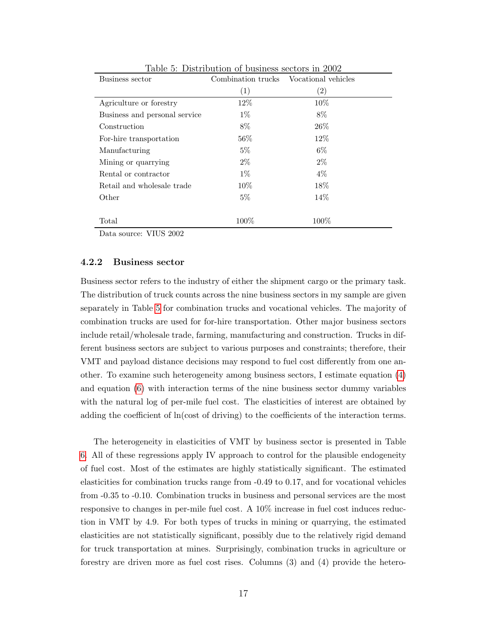| Business sector               | Combination trucks | Vocational vehicles |
|-------------------------------|--------------------|---------------------|
|                               | (1)                | (2)                 |
| Agriculture or forestry       | 12%                | $10\%$              |
| Business and personal service | $1\%$              | 8%                  |
| Construction                  | 8%                 | $26\%$              |
| For-hire transportation       | $56\%$             | $12\%$              |
| Manufacturing                 | $5\%$              | $6\%$               |
| Mining or quarrying           | $2\%$              | $2\%$               |
| Rental or contractor          | $1\%$              | $4\%$               |
| Retail and wholesale trade    | $10\%$             | 18%                 |
| Other                         | $5\%$              | 14\%                |
|                               |                    |                     |
| Total                         | $100\%$            | $100\%$             |

<span id="page-16-0"></span>Table 5: Distribution of business sectors in 2002

Data source: VIUS 2002

#### 4.2.2 Business sector

Business sector refers to the industry of either the shipment cargo or the primary task. The distribution of truck counts across the nine business sectors in my sample are given separately in Table [5](#page-16-0) for combination trucks and vocational vehicles. The majority of combination trucks are used for for-hire transportation. Other major business sectors include retail/wholesale trade, farming, manufacturing and construction. Trucks in different business sectors are subject to various purposes and constraints; therefore, their VMT and payload distance decisions may respond to fuel cost differently from one another. To examine such heterogeneity among business sectors, I estimate equation [\(4\)](#page-9-1) and equation [\(6\)](#page-9-3) with interaction terms of the nine business sector dummy variables with the natural log of per-mile fuel cost. The elasticities of interest are obtained by adding the coefficient of ln(cost of driving) to the coefficients of the interaction terms.

The heterogeneity in elasticities of VMT by business sector is presented in Table [6.](#page-17-0) All of these regressions apply IV approach to control for the plausible endogeneity of fuel cost. Most of the estimates are highly statistically significant. The estimated elasticities for combination trucks range from -0.49 to 0.17, and for vocational vehicles from -0.35 to -0.10. Combination trucks in business and personal services are the most responsive to changes in per-mile fuel cost. A 10% increase in fuel cost induces reduction in VMT by 4.9. For both types of trucks in mining or quarrying, the estimated elasticities are not statistically significant, possibly due to the relatively rigid demand for truck transportation at mines. Surprisingly, combination trucks in agriculture or forestry are driven more as fuel cost rises. Columns (3) and (4) provide the hetero-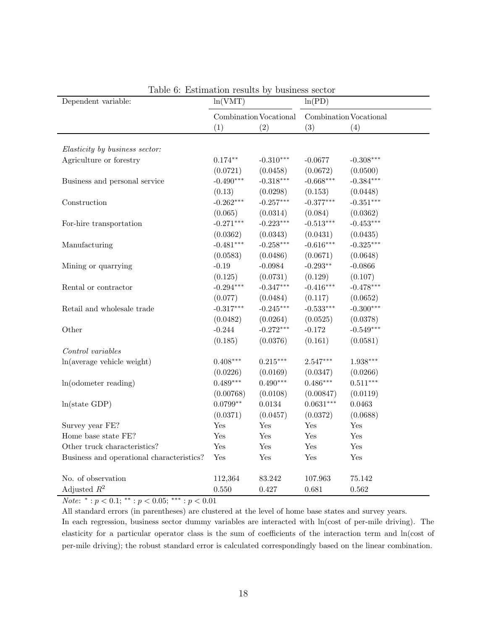| Dependent variable:                       | ln(VMT)     |                        | ln(PD)                 |             |  |
|-------------------------------------------|-------------|------------------------|------------------------|-------------|--|
|                                           |             | Combination Vocational | Combination Vocational |             |  |
|                                           | (1)         | (2)                    | (3)                    | (4)         |  |
|                                           |             |                        |                        |             |  |
| Elasticity by business sector:            |             |                        |                        |             |  |
| Agriculture or forestry                   | $0.174**$   | $-0.310***$            | $-0.0677$              | $-0.308***$ |  |
|                                           | (0.0721)    | (0.0458)               | (0.0672)               | (0.0500)    |  |
| Business and personal service             | $-0.490***$ | $-0.318***$            | $-0.668***$            | $-0.384***$ |  |
|                                           | (0.13)      | (0.0298)               | (0.153)                | (0.0448)    |  |
| Construction                              | $-0.262***$ | $-0.257***$            | $-0.377***$            | $-0.351***$ |  |
|                                           | (0.065)     | (0.0314)               | (0.084)                | (0.0362)    |  |
| For-hire transportation                   | $-0.271***$ | $-0.223***$            | $-0.513***$            | $-0.453***$ |  |
|                                           | (0.0362)    | (0.0343)               | (0.0431)               | (0.0435)    |  |
| Manufacturing                             | $-0.481***$ | $-0.258***$            | $-0.616***$            | $-0.325***$ |  |
|                                           | (0.0583)    | (0.0486)               | (0.0671)               | (0.0648)    |  |
| Mining or quarrying                       | $-0.19$     | $-0.0984$              | $-0.293**$             | $-0.0866$   |  |
|                                           | (0.125)     | (0.0731)               | (0.129)                | (0.107)     |  |
| Rental or contractor                      | $-0.294***$ | $-0.347***$            | $-0.416***$            | $-0.478***$ |  |
|                                           | (0.077)     | (0.0484)               | (0.117)                | (0.0652)    |  |
| Retail and wholesale trade                | $-0.317***$ | $-0.245***$            | $-0.533***$            | $-0.300***$ |  |
|                                           | (0.0482)    | (0.0264)               | (0.0525)               | (0.0378)    |  |
| Other                                     | $-0.244$    | $-0.272***$            | $-0.172$               | $-0.549***$ |  |
|                                           | (0.185)     | (0.0376)               | (0.161)                | (0.0581)    |  |
| Control variables                         |             |                        |                        |             |  |
| ln(average vehicle weight)                | $0.408***$  | $0.215***$             | $2.547***$             | $1.938***$  |  |
|                                           | (0.0226)    | (0.0169)               | (0.0347)               | (0.0266)    |  |
| $ln($ odometer reading $)$                | $0.489***$  | $0.490***$             | $0.486***$             | $0.511***$  |  |
|                                           | (0.00768)   | (0.0108)               | (0.00847)              | (0.0119)    |  |
| ln(state GDP)                             | $0.0799**$  | 0.0134                 | $0.0631***$            | 0.0463      |  |
|                                           | (0.0371)    | (0.0457)               | (0.0372)               | (0.0688)    |  |
| Survey year FE?                           | Yes         | Yes                    | Yes                    | Yes         |  |
| Home base state FE?                       | Yes         | Yes                    | Yes                    | Yes         |  |
| Other truck characteristics?              | Yes         | Yes                    | Yes                    | Yes         |  |
| Business and operational characteristics? | Yes         | Yes                    | Yes                    | Yes         |  |
| No. of observation                        | 112,364     | 83.242                 | 107.963                | 75.142      |  |
| Adjusted $R^2$                            | 0.550       | 0.427                  | 0.681                  | 0.562       |  |

<span id="page-17-0"></span>

| Table 6: Estimation results by business sector |  |  |
|------------------------------------------------|--|--|
|                                                |  |  |

*Note*:  $^* : p < 0.1;$   $^{**} : p < 0.05;$   $^{***} : p < 0.01$ 

All standard errors (in parentheses) are clustered at the level of home base states and survey years. In each regression, business sector dummy variables are interacted with ln(cost of per-mile driving). The elasticity for a particular operator class is the sum of coefficients of the interaction term and ln(cost of per-mile driving); the robust standard error is calculated correspondingly based on the linear combination.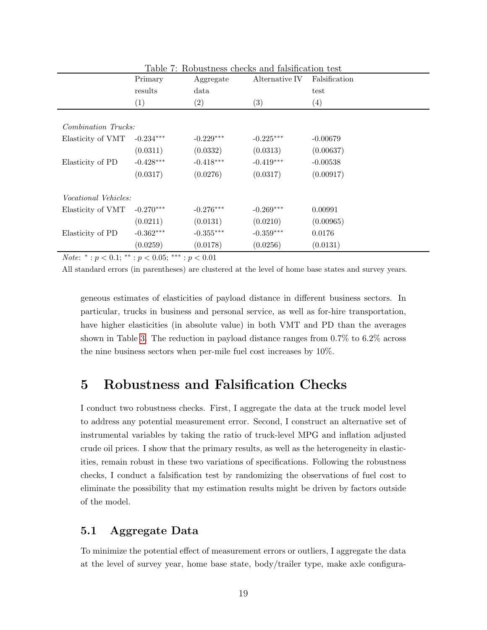|                             | Primary          | <b>1. Trop doctrops</b> checks with full distribution tope<br>Aggregate | Alternative IV    | Falsification    |
|-----------------------------|------------------|-------------------------------------------------------------------------|-------------------|------------------|
|                             | results          | data                                                                    |                   | test             |
|                             | $\left(1\right)$ | $\left( 2\right)$                                                       | $\left( 3\right)$ | $\left(4\right)$ |
|                             |                  |                                                                         |                   |                  |
| Combination Trucks:         |                  |                                                                         |                   |                  |
| Elasticity of VMT           | $-0.234***$      | $-0.229***$                                                             | $-0.225***$       | $-0.00679$       |
|                             | (0.0311)         | (0.0332)                                                                | (0.0313)          | (0.00637)        |
| Elasticity of PD            | $-0.428***$      | $-0.418***$                                                             | $-0.419***$       | $-0.00538$       |
|                             | (0.0317)         | (0.0276)                                                                | (0.0317)          | (0.00917)        |
| <i>Vocational Vehicles:</i> |                  |                                                                         |                   |                  |
| Elasticity of VMT           | $-0.270***$      | $-0.276***$                                                             | $-0.269***$       | 0.00991          |
|                             | (0.0211)         | (0.0131)                                                                | (0.0210)          | (0.00965)        |
| Elasticity of PD            | $-0.362***$      | $-0.355***$                                                             | $-0.359***$       | 0.0176           |
|                             | (0.0259)         | (0.0178)                                                                | (0.0256)          | (0.0131)         |

<span id="page-18-0"></span>Table 7: Robustness checks and falsification test

*Note*: \*:  $p < 0.1$ ; \*\*:  $p < 0.05$ ; \*\*\*:  $p < 0.01$ 

All standard errors (in parentheses) are clustered at the level of home base states and survey years.

geneous estimates of elasticities of payload distance in different business sectors. In particular, trucks in business and personal service, as well as for-hire transportation, have higher elasticities (in absolute value) in both VMT and PD than the averages shown in Table [3.](#page-13-0) The reduction in payload distance ranges from 0.7% to 6.2% across the nine business sectors when per-mile fuel cost increases by 10%.

## 5 Robustness and Falsification Checks

I conduct two robustness checks. First, I aggregate the data at the truck model level to address any potential measurement error. Second, I construct an alternative set of instrumental variables by taking the ratio of truck-level MPG and inflation adjusted crude oil prices. I show that the primary results, as well as the heterogeneity in elasticities, remain robust in these two variations of specifications. Following the robustness checks, I conduct a falsification test by randomizing the observations of fuel cost to eliminate the possibility that my estimation results might be driven by factors outside of the model.

### 5.1 Aggregate Data

To minimize the potential effect of measurement errors or outliers, I aggregate the data at the level of survey year, home base state, body/trailer type, make axle configura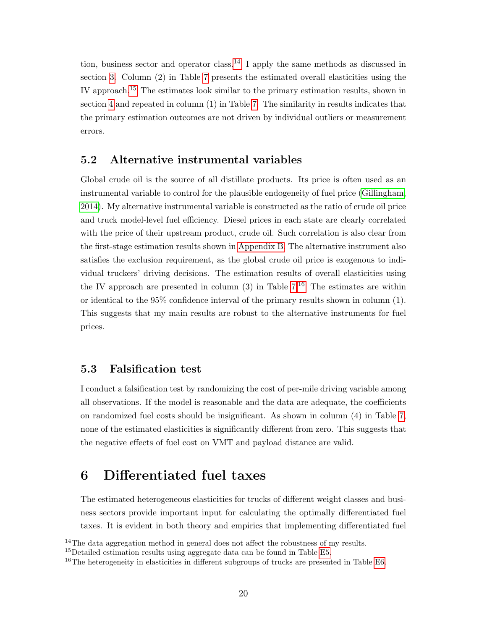tion, business sector and operator class.<sup>[14](#page-0-0)</sup> I apply the same methods as discussed in section [3.](#page-8-0) Column (2) in Table [7](#page-18-0) presents the estimated overall elasticities using the IV approach.[15](#page-0-0) The estimates look similar to the primary estimation results, shown in section [4](#page-11-0) and repeated in column (1) in Table [7.](#page-18-0) The similarity in results indicates that the primary estimation outcomes are not driven by individual outliers or measurement errors.

#### <span id="page-19-0"></span>5.2 Alternative instrumental variables

Global crude oil is the source of all distillate products. Its price is often used as an instrumental variable to control for the plausible endogeneity of fuel price [\(Gillingham,](#page-50-10) [2014\)](#page-50-10). My alternative instrumental variable is constructed as the ratio of crude oil price and truck model-level fuel efficiency. Diesel prices in each state are clearly correlated with the price of their upstream product, crude oil. Such correlation is also clear from the first-stage estimation results shown in [Appendix B.](#page-3-0) The alternative instrument also satisfies the exclusion requirement, as the global crude oil price is exogenous to individual truckers' driving decisions. The estimation results of overall elasticities using the IV approach are presented in column  $(3)$  in Table  $7<sup>16</sup>$  $7<sup>16</sup>$  $7<sup>16</sup>$  The estimates are within or identical to the 95% confidence interval of the primary results shown in column (1). This suggests that my main results are robust to the alternative instruments for fuel prices.

#### 5.3 Falsification test

I conduct a falsification test by randomizing the cost of per-mile driving variable among all observations. If the model is reasonable and the data are adequate, the coefficients on randomized fuel costs should be insignificant. As shown in column (4) in Table [7,](#page-18-0) none of the estimated elasticities is significantly different from zero. This suggests that the negative effects of fuel cost on VMT and payload distance are valid.

## 6 Differentiated fuel taxes

The estimated heterogeneous elasticities for trucks of different weight classes and business sectors provide important input for calculating the optimally differentiated fuel taxes. It is evident in both theory and empirics that implementing differentiated fuel

<sup>&</sup>lt;sup>14</sup>The data aggregation method in general does not affect the robustness of my results.

<sup>&</sup>lt;sup>15</sup>Detailed estimation results using aggregate data can be found in Table [E5.](#page-16-0)

<sup>&</sup>lt;sup>16</sup>The heterogeneity in elasticities in different subgroups of trucks are presented in Table [E6.](#page-17-0)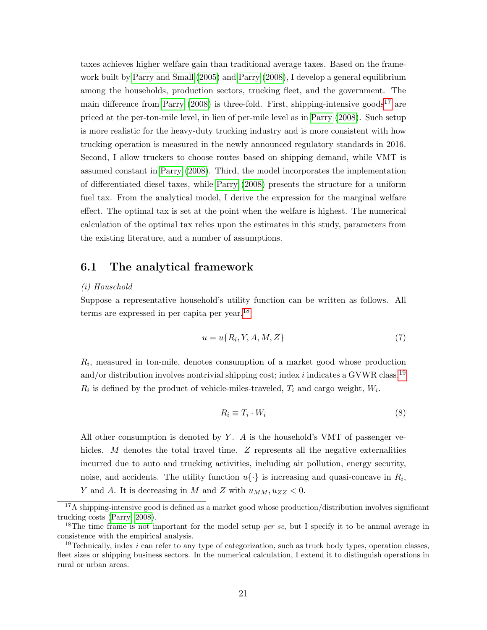taxes achieves higher welfare gain than traditional average taxes. Based on the framework built by [Parry and Small](#page-51-7) [\(2005\)](#page-51-7) and [Parry](#page-51-5) [\(2008\)](#page-51-5), I develop a general equilibrium among the households, production sectors, trucking fleet, and the government. The main difference from [Parry](#page-51-5)  $(2008)$  is three-fold. First, shipping-intensive goods<sup>[17](#page-0-0)</sup> are priced at the per-ton-mile level, in lieu of per-mile level as in [Parry](#page-51-5) [\(2008\)](#page-51-5). Such setup is more realistic for the heavy-duty trucking industry and is more consistent with how trucking operation is measured in the newly announced regulatory standards in 2016. Second, I allow truckers to choose routes based on shipping demand, while VMT is assumed constant in [Parry](#page-51-5) [\(2008\)](#page-51-5). Third, the model incorporates the implementation of differentiated diesel taxes, while [Parry](#page-51-5) [\(2008\)](#page-51-5) presents the structure for a uniform fuel tax. From the analytical model, I derive the expression for the marginal welfare effect. The optimal tax is set at the point when the welfare is highest. The numerical calculation of the optimal tax relies upon the estimates in this study, parameters from the existing literature, and a number of assumptions.

#### <span id="page-20-0"></span>6.1 The analytical framework

#### (i) Household

Suppose a representative household's utility function can be written as follows. All terms are expressed in per capita per year.[18](#page-0-0)

<span id="page-20-1"></span>
$$
u = u\{R_i, Y, A, M, Z\} \tag{7}
$$

 $R_i$ , measured in ton-mile, denotes consumption of a market good whose production and/or distribution involves nontrivial shipping cost; index  $i$  indicates a GVWR class.<sup>[19](#page-0-0)</sup>  $R_i$  is defined by the product of vehicle-miles-traveled,  $T_i$  and cargo weight,  $W_i$ .

$$
R_i \equiv T_i \cdot W_i \tag{8}
$$

All other consumption is denoted by  $Y$ . A is the household's VMT of passenger vehicles. M denotes the total travel time. Z represents all the negative externalities incurred due to auto and trucking activities, including air pollution, energy security, noise, and accidents. The utility function  $u\{\cdot\}$  is increasing and quasi-concave in  $R_i$ , Y and A. It is decreasing in M and Z with  $u_{MM}, u_{ZZ} < 0$ .

 $17A$  shipping-intensive good is defined as a market good whose production/distribution involves significant trucking costs [\(Parry, 2008\)](#page-51-5).

<sup>&</sup>lt;sup>18</sup>The time frame is not important for the model setup *per se*, but I specify it to be annual average in consistence with the empirical analysis.

<sup>&</sup>lt;sup>19</sup>Technically, index i can refer to any type of categorization, such as truck body types, operation classes, fleet sizes or shipping business sectors. In the numerical calculation, I extend it to distinguish operations in rural or urban areas.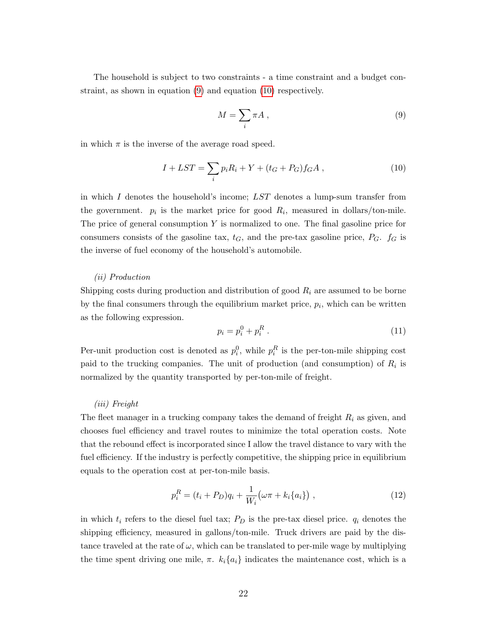The household is subject to two constraints - a time constraint and a budget constraint, as shown in equation [\(9\)](#page-21-0) and equation [\(10\)](#page-21-1) respectively.

<span id="page-21-0"></span>
$$
M = \sum_{i} \pi A , \qquad (9)
$$

in which  $\pi$  is the inverse of the average road speed.

<span id="page-21-1"></span>
$$
I + LST = \sum_{i} p_i R_i + Y + (t_G + P_G) f_G A , \qquad (10)
$$

in which I denotes the household's income; LST denotes a lump-sum transfer from the government.  $p_i$  is the market price for good  $R_i$ , measured in dollars/ton-mile. The price of general consumption  $Y$  is normalized to one. The final gasoline price for consumers consists of the gasoline tax,  $t_G$ , and the pre-tax gasoline price,  $P_G$ .  $f_G$  is the inverse of fuel economy of the household's automobile.

#### (ii) Production

Shipping costs during production and distribution of good  $R_i$  are assumed to be borne by the final consumers through the equilibrium market price,  $p_i$ , which can be written as the following expression.

$$
p_i = p_i^0 + p_i^R \t\t(11)
$$

Per-unit production cost is denoted as  $p_i^0$ , while  $p_i^R$  is the per-ton-mile shipping cost paid to the trucking companies. The unit of production (and consumption) of  $R_i$  is normalized by the quantity transported by per-ton-mile of freight.

#### (iii) Freight

The fleet manager in a trucking company takes the demand of freight  $R_i$  as given, and chooses fuel efficiency and travel routes to minimize the total operation costs. Note that the rebound effect is incorporated since I allow the travel distance to vary with the fuel efficiency. If the industry is perfectly competitive, the shipping price in equilibrium equals to the operation cost at per-ton-mile basis.

<span id="page-21-2"></span>
$$
p_i^R = (t_i + P_D)q_i + \frac{1}{W_i}(\omega \pi + k_i \{a_i\}), \qquad (12)
$$

in which  $t_i$  refers to the diesel fuel tax;  $P_D$  is the pre-tax diesel price.  $q_i$  denotes the shipping efficiency, measured in gallons/ton-mile. Truck drivers are paid by the distance traveled at the rate of  $\omega$ , which can be translated to per-mile wage by multiplying the time spent driving one mile,  $\pi$ .  $k_i\{a_i\}$  indicates the maintenance cost, which is a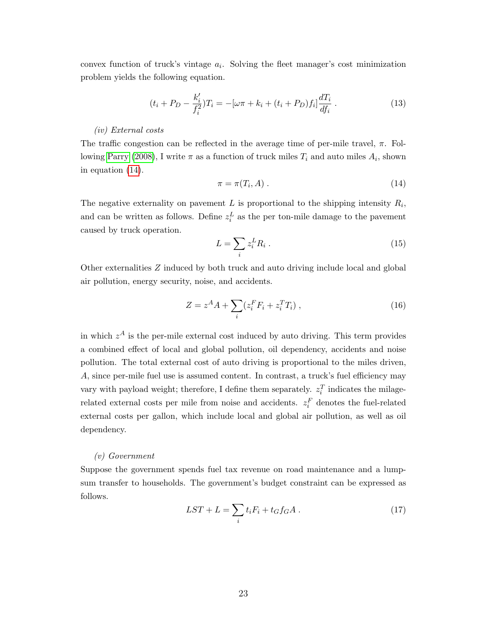convex function of truck's vintage  $a_i$ . Solving the fleet manager's cost minimization problem yields the following equation.

$$
(t_i + P_D - \frac{k'_i}{f_i^2})T_i = -[\omega \pi + k_i + (t_i + P_D)f_i]\frac{dT_i}{df_i}.
$$
\n(13)

#### (iv) External costs

The traffic congestion can be reflected in the average time of per-mile travel,  $\pi$ . Fol-lowing [Parry](#page-51-5) [\(2008\)](#page-51-5), I write  $\pi$  as a function of truck miles  $T_i$  and auto miles  $A_i$ , shown in equation [\(14\)](#page-22-0).

<span id="page-22-0"></span>
$$
\pi = \pi(T_i, A) \tag{14}
$$

The negative externality on pavement  $L$  is proportional to the shipping intensity  $R_i$ , and can be written as follows. Define  $z_i^L$  as the per ton-mile damage to the pavement caused by truck operation.

<span id="page-22-2"></span>
$$
L = \sum_{i} z_i^L R_i \tag{15}
$$

Other externalities Z induced by both truck and auto driving include local and global air pollution, energy security, noise, and accidents.

<span id="page-22-1"></span>
$$
Z = z^{A}A + \sum_{i} (z_{i}^{F}F_{i} + z_{i}^{T}T_{i}), \qquad (16)
$$

in which  $z^A$  is the per-mile external cost induced by auto driving. This term provides a combined effect of local and global pollution, oil dependency, accidents and noise pollution. The total external cost of auto driving is proportional to the miles driven, A, since per-mile fuel use is assumed content. In contrast, a truck's fuel efficiency may vary with payload weight; therefore, I define them separately.  $z_i^T$  indicates the milagerelated external costs per mile from noise and accidents.  $z_i^F$  denotes the fuel-related external costs per gallon, which include local and global air pollution, as well as oil dependency.

#### (v) Government

Suppose the government spends fuel tax revenue on road maintenance and a lumpsum transfer to households. The government's budget constraint can be expressed as follows.

<span id="page-22-3"></span>
$$
LST + L = \sum_{i} t_i F_i + t_G f_G A . \qquad (17)
$$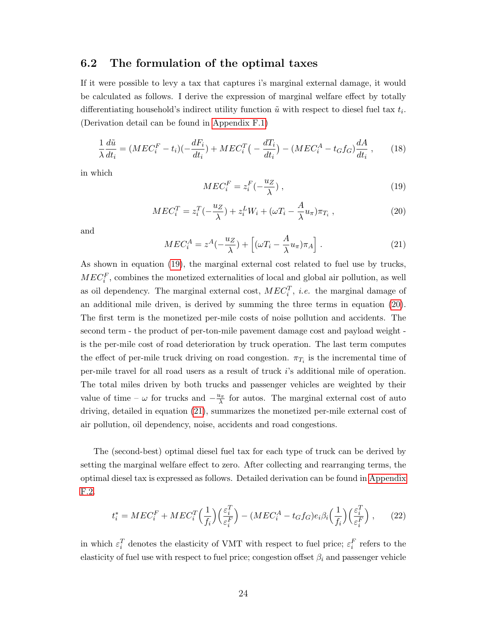#### <span id="page-23-3"></span>6.2 The formulation of the optimal taxes

If it were possible to levy a tax that captures i's marginal external damage, it would be calculated as follows. I derive the expression of marginal welfare effect by totally differentiating household's indirect utility function  $\tilde{u}$  with respect to diesel fuel tax  $t_i$ . (Derivation detail can be found in [Appendix F.1\)](#page-20-0)

<span id="page-23-5"></span>
$$
\frac{1}{\lambda} \frac{d\tilde{u}}{dt_i} = (MEC_i^F - t_i)(-\frac{dF_i}{dt_i}) + MEC_i^T(-\frac{dT_i}{dt_i}) - (MEC_i^A - t_Gf_G)\frac{dA}{dt_i},\qquad(18)
$$

in which

<span id="page-23-0"></span>
$$
MEC_i^F = z_i^F(-\frac{u_Z}{\lambda}),\tag{19}
$$

<span id="page-23-1"></span>
$$
MEC_i^T = z_i^T(-\frac{u_Z}{\lambda}) + z_i^L W_i + (\omega T_i - \frac{A}{\lambda}u_\pi)\pi_{T_i},\qquad(20)
$$

and

<span id="page-23-2"></span>
$$
MEC_i^A = z^A(-\frac{u_Z}{\lambda}) + \left[ (\omega T_i - \frac{A}{\lambda}u_\pi)\pi_A \right]. \tag{21}
$$

As shown in equation [\(19\)](#page-23-0), the marginal external cost related to fuel use by trucks,  $MEC_i^F$ , combines the monetized externalities of local and global air pollution, as well as oil dependency. The marginal external cost,  $MEC_i^T$ , *i.e.* the marginal damage of an additional mile driven, is derived by summing the three terms in equation [\(20\)](#page-23-1). The first term is the monetized per-mile costs of noise pollution and accidents. The second term - the product of per-ton-mile pavement damage cost and payload weight is the per-mile cost of road deterioration by truck operation. The last term computes the effect of per-mile truck driving on road congestion.  $\pi_{T_i}$  is the incremental time of per-mile travel for all road users as a result of truck i's additional mile of operation. The total miles driven by both trucks and passenger vehicles are weighted by their value of time –  $\omega$  for trucks and  $-\frac{u_{\pi}}{\lambda}$  for autos. The marginal external cost of auto driving, detailed in equation [\(21\)](#page-23-2), summarizes the monetized per-mile external cost of air pollution, oil dependency, noise, accidents and road congestions.

The (second-best) optimal diesel fuel tax for each type of truck can be derived by setting the marginal welfare effect to zero. After collecting and rearranging terms, the optimal diesel tax is expressed as follows. Detailed derivation can be found in [Appendix](#page-23-3) [F.2.](#page-23-3)

<span id="page-23-4"></span>
$$
t_i^* = MEC_i^F + MEC_i^T \left(\frac{1}{f_i}\right) \left(\frac{\varepsilon_i^T}{\varepsilon_i^F}\right) - (MEC_i^A - t_G f_G)e_i\beta_i \left(\frac{1}{f_i}\right) \left(\frac{\varepsilon_i^T}{\varepsilon_i^F}\right),\tag{22}
$$

in which  $\varepsilon_i^T$  denotes the elasticity of VMT with respect to fuel price;  $\varepsilon_i^F$  refers to the elasticity of fuel use with respect to fuel price; congestion offset  $\beta_i$  and passenger vehicle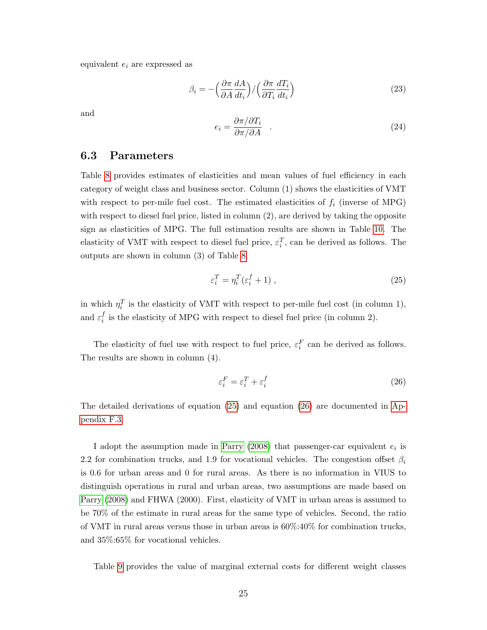equivalent  $e_i$  are expressed as

$$
\beta_i = -\left(\frac{\partial \pi}{\partial A} \frac{dA}{dt_i}\right) / \left(\frac{\partial \pi}{\partial T_i} \frac{dT_i}{dt_i}\right) \tag{23}
$$

and

$$
e_i = \frac{\partial \pi / \partial T_i}{\partial \pi / \partial A} \quad . \tag{24}
$$

#### <span id="page-24-2"></span>6.3 Parameters

Table [8](#page-25-0) provides estimates of elasticities and mean values of fuel efficiency in each category of weight class and business sector. Column (1) shows the elasticities of VMT with respect to per-mile fuel cost. The estimated elasticities of  $f_i$  (inverse of MPG) with respect to diesel fuel price, listed in column (2), are derived by taking the opposite sign as elasticities of MPG. The full estimation results are shown in Table [10.](#page-29-0) The elasticity of VMT with respect to diesel fuel price,  $\varepsilon_i^T$ , can be derived as follows. The outputs are shown in column (3) of Table [8.](#page-25-0)

<span id="page-24-0"></span>
$$
\varepsilon_i^T = \eta_i^T (\varepsilon_i^f + 1) \,, \tag{25}
$$

in which  $\eta_i^T$  is the elasticity of VMT with respect to per-mile fuel cost (in column 1), and  $\varepsilon_i^f$  $i<sub>i</sub>$  is the elasticity of MPG with respect to diesel fuel price (in column 2).

The elasticity of fuel use with respect to fuel price,  $\varepsilon_i^F$  can be derived as follows. The results are shown in column (4).

<span id="page-24-1"></span>
$$
\varepsilon_i^F = \varepsilon_i^T + \varepsilon_i^f \tag{26}
$$

The detailed derivations of equation [\(25\)](#page-24-0) and equation [\(26\)](#page-24-1) are documented in [Ap](#page-24-2)[pendix F.3.](#page-24-2)

I adopt the assumption made in [Parry](#page-51-5)  $(2008)$  that passenger-car equivalent  $e_i$  is 2.2 for combination trucks, and 1.9 for vocational vehicles. The congestion offset  $\beta_i$ is 0.6 for urban areas and 0 for rural areas. As there is no information in VIUS to distinguish operations in rural and urban areas, two assumptions are made based on [Parry](#page-51-5) [\(2008\)](#page-51-5) and FHWA (2000). First, elasticity of VMT in urban areas is assumed to be 70% of the estimate in rural areas for the same type of vehicles. Second, the ratio of VMT in rural areas versus those in urban areas is 60%:40% for combination trucks, and 35%:65% for vocational vehicles.

Table [9](#page-26-0) provides the value of marginal external costs for different weight classes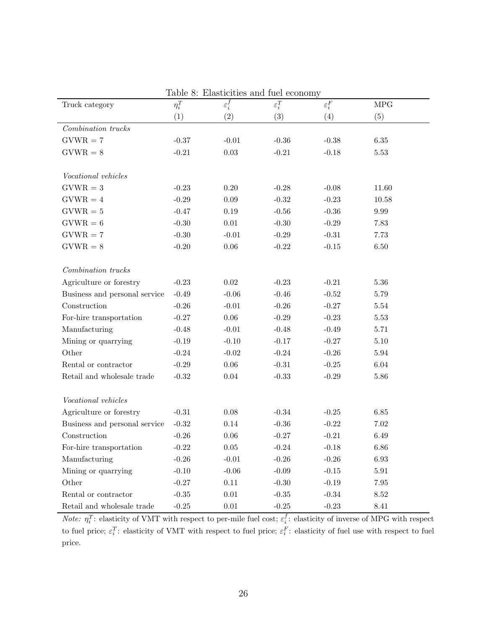| rable o: Elasticities and luel economy |            |                              |                   |                   |             |  |
|----------------------------------------|------------|------------------------------|-------------------|-------------------|-------------|--|
| Truck category                         | $\eta^T_i$ | $\overline{\varepsilon_i^f}$ | $\varepsilon_i^T$ | $\varepsilon_i^F$ | ${\rm MPC}$ |  |
|                                        | (1)        | (2)                          | (3)               | (4)               | (5)         |  |
| Combination trucks                     |            |                              |                   |                   |             |  |
| $GVWR = 7$                             | $-0.37$    | $-0.01$                      | $-0.36$           | $-0.38$           | $6.35\,$    |  |
| $GVWR = 8$                             | $-0.21$    | $0.03\,$                     | $-0.21$           | $-0.18$           | $5.53\,$    |  |
|                                        |            |                              |                   |                   |             |  |
| Vocational vehicles                    |            |                              |                   |                   |             |  |
| $GVWR = 3$                             | $-0.23$    | 0.20                         | $-0.28$           | $-0.08$           | 11.60       |  |
| $GVWR = 4$                             | $-0.29$    | $0.09\,$                     | $-0.32$           | $-0.23$           | 10.58       |  |
| $GVWR = 5$                             | $-0.47$    | $0.19\,$                     | $-0.56$           | $-0.36$           | $9.99\,$    |  |
| $GVWR = 6$                             | $-0.30$    | $0.01\,$                     | $-0.30$           | $-0.29$           | 7.83        |  |
| $GVWR = 7$                             | $-0.30$    | $-0.01$                      | $-0.29$           | $-0.31$           | 7.73        |  |
| $GVWR = 8$                             | $-0.20$    | $0.06\,$                     | $-0.22$           | $-0.15$           | 6.50        |  |
|                                        |            |                              |                   |                   |             |  |
| Combination trucks                     |            |                              |                   |                   |             |  |
| Agriculture or forestry                | $-0.23$    | 0.02                         | $-0.23$           | $-0.21$           | 5.36        |  |
| Business and personal service          | $-0.49$    | $-0.06$                      | $-0.46$           | $-0.52$           | 5.79        |  |
| Construction                           | $-0.26$    | $-0.01$                      | $-0.26$           | $-0.27$           | $5.54\,$    |  |
| For-hire transportation                | $-0.27$    | $0.06\,$                     | $-0.29$           | $-0.23$           | $5.53\,$    |  |
| Manufacturing                          | $-0.48$    | $-0.01$                      | $-0.48$           | $-0.49$           | 5.71        |  |
| Mining or quarrying                    | $-0.19$    | $-0.10$                      | $-0.17$           | $-0.27$           | $5.10\,$    |  |
| Other                                  | $-0.24$    | $-0.02$                      | $-0.24$           | $-0.26$           | $5.94\,$    |  |
| Rental or contractor                   | $-0.29$    | $0.06\,$                     | $-0.31$           | $-0.25$           | $6.04\,$    |  |
| Retail and wholesale trade             | $-0.32$    | $0.04\,$                     | $-0.33$           | $-0.29$           | $5.86\,$    |  |
|                                        |            |                              |                   |                   |             |  |
| Vocational vehicles                    |            |                              |                   |                   |             |  |
| Agriculture or forestry                | $-0.31$    | 0.08                         | $-0.34$           | $-0.25$           | 6.85        |  |
| Business and personal service          | $-0.32$    | $0.14\,$                     | $-0.36$           | $-0.22$           | $7.02\,$    |  |
| Construction                           | $-0.26$    | $0.06\,$                     | $-0.27$           | $-0.21$           | 6.49        |  |
| For-hire transportation                | $-0.22$    | $0.05\,$                     | $-0.24$           | $-0.18$           | 6.86        |  |
| Manufacturing                          | $-0.26$    | $-0.01$                      | $-0.26$           | $-0.26$           | $6.93\,$    |  |
| Mining or quarrying                    | $-0.10$    | $-0.06$                      | $-0.09$           | $-0.15$           | $5.91\,$    |  |
| Other                                  | $-0.27$    | $0.11\,$                     | $-0.30$           | $-0.19$           | $7.95\,$    |  |
| Rental or contractor                   | $-0.35$    | $0.01\,$                     | $-0.35$           | $-0.34$           | $8.52\,$    |  |
| Retail and wholesale trade             | $-0.25$    | $0.01\,$                     | $-0.25$           | $-0.23$           | 8.41        |  |

<span id="page-25-0"></span> $Table 8: Flactiation and fuel$ 

*Note:*  $\eta_i^T$ : elasticity of VMT with respect to per-mile fuel cost;  $\varepsilon_i^f$ : elasticity of inverse of MPG with respect to fuel price;  $\varepsilon_i^T$ : elasticity of VMT with respect to fuel price;  $\varepsilon_i^F$ : elasticity of fuel use with respect to fuel price.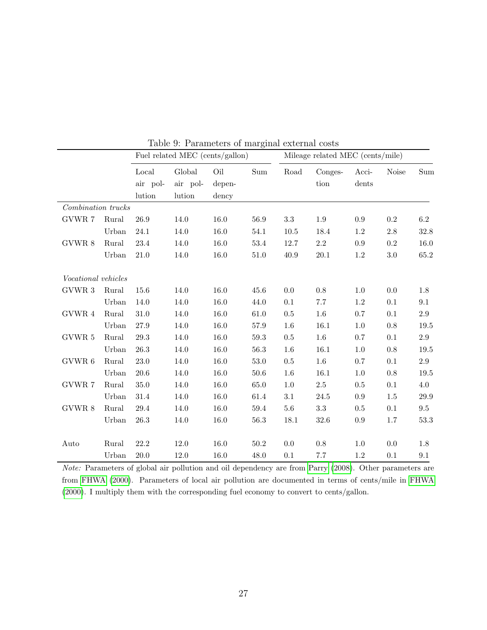|                            |       | Fuel related MEC (cents/gallon) |          |        | Mileage related MEC (cents/mile) |          |         |         |              |         |
|----------------------------|-------|---------------------------------|----------|--------|----------------------------------|----------|---------|---------|--------------|---------|
|                            |       | Local                           | Global   | Oil    | Sum                              | Road     | Conges- | Acci-   | <b>Noise</b> | Sum     |
|                            |       | air pol-                        | air pol- | depen- |                                  |          | tion    | dents   |              |         |
|                            |       | lution                          | lution   | dency  |                                  |          |         |         |              |         |
| Combination trucks         |       |                                 |          |        |                                  |          |         |         |              |         |
| GVWR 7                     | Rural | 26.9                            | 14.0     | 16.0   | 56.9                             | 3.3      | 1.9     | 0.9     | 0.2          | 6.2     |
|                            | Urban | 24.1                            | 14.0     | 16.0   | 54.1                             | $10.5\,$ | 18.4    | 1.2     | $2.8\,$      | 32.8    |
| GVWR 8                     | Rural | 23.4                            | 14.0     | 16.0   | $53.4\,$                         | 12.7     | $2.2\,$ | $0.9\,$ | $\rm 0.2$    | 16.0    |
|                            | Urban | $21.0\,$                        | 14.0     | 16.0   | 51.0                             | 40.9     | 20.1    | $1.2\,$ | 3.0          | 65.2    |
| <i>Vocational vehicles</i> |       |                                 |          |        |                                  |          |         |         |              |         |
| GVWR 3                     | Rural | 15.6                            | 14.0     | 16.0   | 45.6                             | 0.0      | 0.8     | 1.0     | 0.0          | 1.8     |
|                            | Urban | 14.0                            | 14.0     | 16.0   | 44.0                             | 0.1      | 7.7     | 1.2     | 0.1          | 9.1     |
| GVWR 4                     | Rural | 31.0                            | 14.0     | 16.0   | 61.0                             | 0.5      | $1.6\,$ | 0.7     | 0.1          | $2.9\,$ |
|                            | Urban | 27.9                            | 14.0     | 16.0   | 57.9                             | 1.6      | 16.1    | $1.0\,$ | 0.8          | 19.5    |
| GVWR 5                     | Rural | $29.3\,$                        | 14.0     | 16.0   | 59.3                             | 0.5      | $1.6\,$ | 0.7     | 0.1          | $2.9\,$ |
|                            | Urban | 26.3                            | 14.0     | 16.0   | 56.3                             | 1.6      | 16.1    | 1.0     | 0.8          | 19.5    |
| GVWR <sub>6</sub>          | Rural | 23.0                            | 14.0     | 16.0   | 53.0                             | 0.5      | $1.6\,$ | 0.7     | 0.1          | $2.9\,$ |
|                            | Urban | 20.6                            | 14.0     | 16.0   | 50.6                             | 1.6      | 16.1    | 1.0     | 0.8          | 19.5    |
| GVWR 7                     | Rural | 35.0                            | 14.0     | 16.0   | 65.0                             | 1.0      | $2.5\,$ | 0.5     | 0.1          | 4.0     |
|                            | Urban | 31.4                            | 14.0     | 16.0   | 61.4                             | 3.1      | 24.5    | 0.9     | 1.5          | 29.9    |
| GVWR 8                     | Rural | 29.4                            | 14.0     | 16.0   | 59.4                             | $5.6\,$  | $\!3.3$ | 0.5     | 0.1          | $\,9.5$ |
|                            | Urban | 26.3                            | 14.0     | 16.0   | 56.3                             | 18.1     | 32.6    | 0.9     | 1.7          | 53.3    |
| Auto                       | Rural | 22.2                            | 12.0     | 16.0   | 50.2                             | 0.0      | $0.8\,$ | 1.0     | 0.0          | 1.8     |
|                            | Urban | 20.0                            | 12.0     | 16.0   | 48.0                             | 0.1      | $7.7\,$ | 1.2     | 0.1          | 9.1     |

<span id="page-26-0"></span>Table 9: Parameters of marginal external costs

Note: Parameters of global air pollution and oil dependency are from [Parry](#page-51-5) [\(2008\)](#page-51-5). Other parameters are from [FHWA](#page-50-11) [\(2000\)](#page-50-11). Parameters of local air pollution are documented in terms of cents/mile in [FHWA](#page-50-11) [\(2000\)](#page-50-11). I multiply them with the corresponding fuel economy to convert to cents/gallon.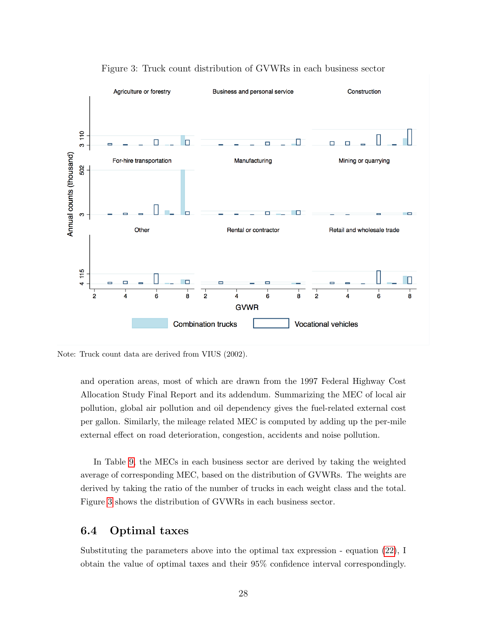

<span id="page-27-0"></span>Figure 3: Truck count distribution of GVWRs in each business sector

Note: Truck count data are derived from VIUS (2002).

and operation areas, most of which are drawn from the 1997 Federal Highway Cost Allocation Study Final Report and its addendum. Summarizing the MEC of local air pollution, global air pollution and oil dependency gives the fuel-related external cost per gallon. Similarly, the mileage related MEC is computed by adding up the per-mile external effect on road deterioration, congestion, accidents and noise pollution.

In Table [9,](#page-26-0) the MECs in each business sector are derived by taking the weighted average of corresponding MEC, based on the distribution of GVWRs. The weights are derived by taking the ratio of the number of trucks in each weight class and the total. Figure [3](#page-27-0) shows the distribution of GVWRs in each business sector.

### 6.4 Optimal taxes

Substituting the parameters above into the optimal tax expression - equation [\(22\)](#page-23-4), I obtain the value of optimal taxes and their 95% confidence interval correspondingly.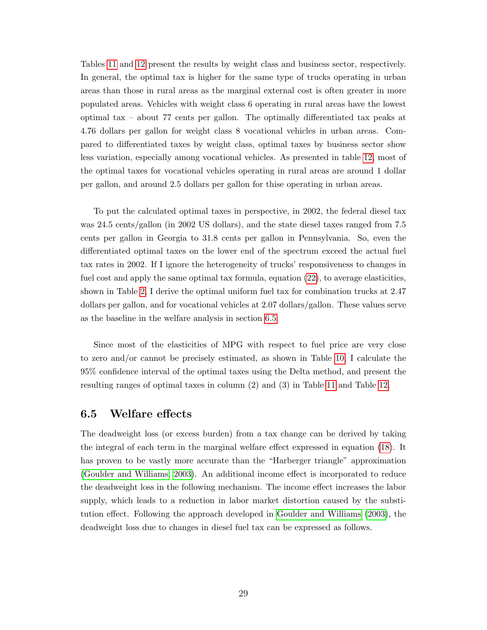Tables [11](#page-30-0) and [12](#page-31-0) present the results by weight class and business sector, respectively. In general, the optimal tax is higher for the same type of trucks operating in urban areas than those in rural areas as the marginal external cost is often greater in more populated areas. Vehicles with weight class 6 operating in rural areas have the lowest optimal tax – about 77 cents per gallon. The optimally differentiated tax peaks at 4.76 dollars per gallon for weight class 8 vocational vehicles in urban areas. Compared to differentiated taxes by weight class, optimal taxes by business sector show less variation, especially among vocational vehicles. As presented in table [12,](#page-31-0) most of the optimal taxes for vocational vehicles operating in rural areas are around 1 dollar per gallon, and around 2.5 dollars per gallon for thise operating in urban areas.

To put the calculated optimal taxes in perspective, in 2002, the federal diesel tax was 24.5 cents/gallon (in 2002 US dollars), and the state diesel taxes ranged from 7.5 cents per gallon in Georgia to 31.8 cents per gallon in Pennsylvania. So, even the differentiated optimal taxes on the lower end of the spectrum exceed the actual fuel tax rates in 2002. If I ignore the heterogeneity of trucks' responsiveness to changes in fuel cost and apply the same optimal tax formula, equation [\(22\)](#page-23-4), to average elasticities, shown in Table [2,](#page-12-0) I derive the optimal uniform fuel tax for combination trucks at 2.47 dollars per gallon, and for vocational vehicles at 2.07 dollars/gallon. These values serve as the baseline in the welfare analysis in section [6.5.](#page-28-0)

Since most of the elasticities of MPG with respect to fuel price are very close to zero and/or cannot be precisely estimated, as shown in Table [10,](#page-29-0) I calculate the 95% confidence interval of the optimal taxes using the Delta method, and present the resulting ranges of optimal taxes in column (2) and (3) in Table [11](#page-30-0) and Table [12.](#page-31-0)

#### <span id="page-28-0"></span>6.5 Welfare effects

The deadweight loss (or excess burden) from a tax change can be derived by taking the integral of each term in the marginal welfare effect expressed in equation [\(18\)](#page-23-5). It has proven to be vastly more accurate than the "Harberger triangle" approximation [\(Goulder and Williams, 2003\)](#page-50-6). An additional income effect is incorporated to reduce the deadweight loss in the following mechanism. The income effect increases the labor supply, which leads to a reduction in labor market distortion caused by the substitution effect. Following the approach developed in [Goulder and Williams](#page-50-6) [\(2003\)](#page-50-6), the deadweight loss due to changes in diesel fuel tax can be expressed as follows.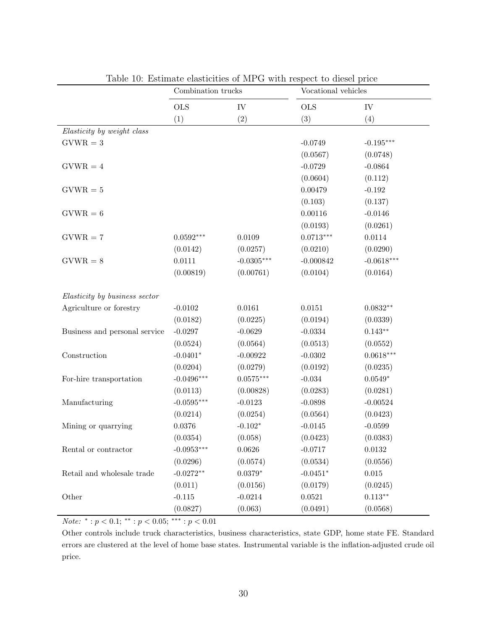|                               | Combination trucks |              | Vocational vehicles |              |  |
|-------------------------------|--------------------|--------------|---------------------|--------------|--|
|                               | <b>OLS</b>         | IV           | <b>OLS</b>          | IV           |  |
|                               | (1)                | (2)          | (3)                 | (4)          |  |
| Elasticity by weight class    |                    |              |                     |              |  |
| $GVWR = 3$                    |                    |              | $-0.0749$           | $-0.195***$  |  |
|                               |                    |              | (0.0567)            | (0.0748)     |  |
| $GVWR = 4$                    |                    |              | $-0.0729$           | $-0.0864$    |  |
|                               |                    |              | (0.0604)            | (0.112)      |  |
| $GVWR = 5$                    |                    |              | 0.00479             | $-0.192$     |  |
|                               |                    |              | (0.103)             | (0.137)      |  |
| $GVWR = 6$                    |                    |              | 0.00116             | $-0.0146$    |  |
|                               |                    |              | (0.0193)            | (0.0261)     |  |
| $GVWR = 7$                    | $0.0592***$        | 0.0109       | $0.0713***$         | 0.0114       |  |
|                               | (0.0142)           | (0.0257)     | (0.0210)            | (0.0290)     |  |
| $GVWR = 8$                    | 0.0111             | $-0.0305***$ | $-0.000842$         | $-0.0618***$ |  |
|                               | (0.00819)          | (0.00761)    | (0.0104)            | (0.0164)     |  |
| Elasticity by business sector |                    |              |                     |              |  |
| Agriculture or forestry       | $-0.0102$          | 0.0161       | 0.0151              | $0.0832**$   |  |
|                               | (0.0182)           | (0.0225)     | (0.0194)            | (0.0339)     |  |
| Business and personal service | $-0.0297$          | $-0.0629$    | $-0.0334$           | $0.143**$    |  |
|                               | (0.0524)           | (0.0564)     | (0.0513)            | (0.0552)     |  |
| Construction                  | $-0.0401*$         | $-0.00922$   | $-0.0302$           | $0.0618***$  |  |
|                               | (0.0204)           | (0.0279)     | (0.0192)            | (0.0235)     |  |
| For-hire transportation       | $-0.0496***$       | $0.0575***$  | $-0.034$            | $0.0549*$    |  |
|                               | (0.0113)           | (0.00828)    | (0.0283)            | (0.0281)     |  |
| Manufacturing                 | $-0.0595***$       | $-0.0123$    | $-0.0898$           | $-0.00524$   |  |
|                               | (0.0214)           | (0.0254)     | (0.0564)            | (0.0423)     |  |
| Mining or quarrying           | 0.0376             | $-0.102*$    | $-0.0145$           | $-0.0599$    |  |
|                               | (0.0354)           | (0.058)      | (0.0423)            | (0.0383)     |  |
| Rental or contractor          | $-0.0953***$       | 0.0626       | $-0.0717$           | 0.0132       |  |
|                               | (0.0296)           | (0.0574)     | (0.0534)            | (0.0556)     |  |
| Retail and wholesale trade    | $-0.0272**$        | $0.0379*$    | $-0.0451*$          | $\,0.015\,$  |  |
|                               | (0.011)            | (0.0156)     | (0.0179)            | (0.0245)     |  |
| Other                         | $-0.115$           | $-0.0214$    | 0.0521              | $0.113**$    |  |
|                               | (0.0827)           | (0.063)      | (0.0491)            | (0.0568)     |  |

<span id="page-29-0"></span>Table 10: Estimate elasticities of MPG with respect to diesel price

Note: \*:  $p < 0.1$ ; \*\*:  $p < 0.05$ ; \*\*\*:  $p < 0.01$ 

Other controls include truck characteristics, business characteristics, state GDP, home state FE. Standard errors are clustered at the level of home base states. Instrumental variable is the inflation-adjusted crude oil price.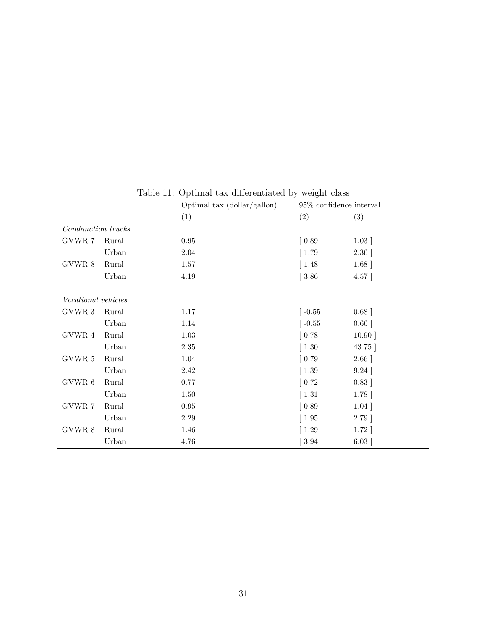|                     |       | Optimal tax (dollar/gallon) | 95% confidence interval      |          |
|---------------------|-------|-----------------------------|------------------------------|----------|
|                     |       | (1)                         | (2)                          | (3)      |
| Combination trucks  |       |                             |                              |          |
| GVWR 7              | Rural | $\rm 0.95$                  | $\left[0.89\right]$          | 1.03     |
|                     | Urban | $2.04\,$                    | $\left[1.79\right]$          | 2.36     |
| GVWR 8              | Rural | 1.57                        | $\left[ \right.1.48 \right]$ | $1.68$ ] |
|                     | Urban | 4.19                        | $\vert 3.86$                 | 4.57     |
|                     |       |                             |                              |          |
| Vocational vehicles |       |                             |                              |          |
| GVWR 3              | Rural | $1.17\,$                    | $\left[-0.55\right]$         | 0.68     |
|                     | Urban | 1.14                        | $\lceil -0.55 \rceil$        | 0.66     |
| GVWR 4              | Rural | $1.03\,$                    | $\left[0.78\right]$          | 10.90    |
|                     | Urban | $2.35\,$                    | $\left[1.30\right]$          | 43.75    |
| $\rm GVWR$ 5        | Rural | 1.04                        | $\left[0.79\right]$          | 2.66     |
|                     | Urban | $2.42\,$                    | $\left[1.39\right]$          | 9.24     |
| $\rm GVWR$ $6$      | Rural | 0.77                        | $\left[0.72\right]$          | 0.83     |
|                     | Urban | $1.50\,$                    | $\lceil 1.31 \rceil$         | 1.78     |
| GVWR 7              | Rural | $\rm 0.95$                  | $\left[0.89\right]$          | 1.04     |
|                     | Urban | $2.29\,$                    | $\vert$ 1.95                 | 2.79     |
| $\rm GVWR$ $8$      | Rural | 1.46                        | $\left(1.29\right)$          | $1.72$ ] |
|                     | Urban | 4.76                        | $3.94\,$                     | 6.03     |

<span id="page-30-0"></span>Table 11: Optimal tax differentiated by weight class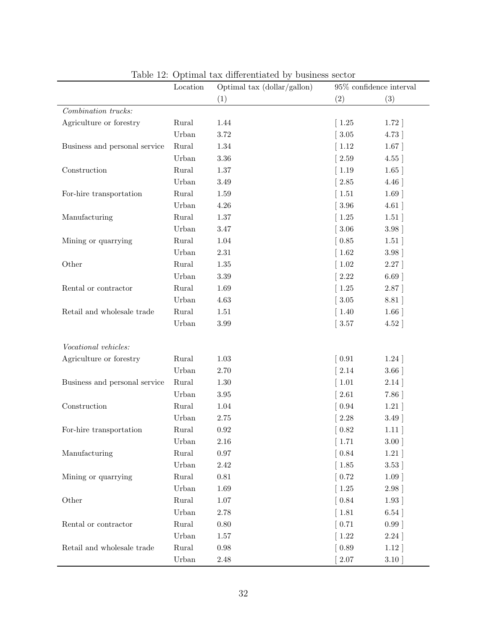|                               | Table 12. Optimal tax unicremated by basiness sector<br>Location | Optimal tax (dollar/gallon)<br>95% confidence interval |                       |      |
|-------------------------------|------------------------------------------------------------------|--------------------------------------------------------|-----------------------|------|
|                               |                                                                  | (1)                                                    | (2)                   | (3)  |
| Combination trucks:           |                                                                  |                                                        |                       |      |
| Agriculture or forestry       | Rural                                                            | 1.44                                                   | $\left(1.25\right)$   | 1.72 |
|                               | Urban                                                            | 3.72                                                   | 3.05                  | 4.73 |
| Business and personal service | Rural                                                            | 1.34                                                   | 1.12                  | 1.67 |
|                               | Urban                                                            | $3.36\,$                                               | 2.59                  | 4.55 |
| Construction                  | Rural                                                            | $1.37\,$                                               | $\lceil 1.19 \rceil$  | 1.65 |
|                               | Urban                                                            | 3.49                                                   | 2.85                  | 4.46 |
| For-hire transportation       | Rural                                                            | 1.59                                                   | $\left[1.51\right]$   | 1.69 |
|                               | Urban                                                            | 4.26                                                   | $\left[3.96\right]$   | 4.61 |
| Manufacturing                 | Rural                                                            | $1.37\,$                                               | $\left[ 1.25 \right]$ | 1.51 |
|                               | Urban                                                            | $3.47\,$                                               | $[3.06]$              | 3.98 |
| Mining or quarrying           | Rural                                                            | $1.04\,$                                               | [0.85]                | 1.51 |
|                               | Urban                                                            | $2.31\,$                                               | $\left[1.62\right]$   | 3.98 |
| Other                         | Rural                                                            | $1.35\,$                                               | $\left[1.02\right]$   | 2.27 |
|                               | Urban                                                            | $3.39\,$                                               | 2.22                  | 6.69 |
| Rental or contractor          | Rural                                                            | 1.69                                                   | $\left[1.25\right]$   | 2.87 |
|                               | Urban                                                            | 4.63                                                   | $\left[3.05\right]$   | 8.81 |
| Retail and wholesale trade    | Rural                                                            | 1.51                                                   | $\left[1.40\right]$   | 1.66 |
|                               | Urban                                                            | 3.99                                                   | $\vert 3.57$          | 4.52 |
|                               |                                                                  |                                                        |                       |      |
| Vocational vehicles:          |                                                                  |                                                        |                       |      |
| Agriculture or forestry       | Rural                                                            | 1.03                                                   | $\left[0.91\right]$   | 1.24 |
|                               | Urban                                                            | 2.70                                                   | 2.14                  | 3.66 |
| Business and personal service | Rural                                                            | 1.30                                                   | $1.01\,$              | 2.14 |
|                               | Urban                                                            | 3.95                                                   | 2.61                  | 7.86 |
| Construction                  | Rural                                                            | 1.04                                                   | $\left[0.94\right]$   | 1.21 |
|                               | Urban                                                            | 2.75                                                   | 2.28                  | 3.49 |
| For-hire transportation       | Rural                                                            | 0.92                                                   | 0.82                  | 1.11 |
|                               | Urban                                                            | 2.16                                                   | $\left[1.71\right]$   | 3.00 |
| Manufacturing                 | Rural                                                            | $0.97\,$                                               | [0.84]                | 1.21 |
|                               | Urban                                                            | 2.42                                                   | $\left[1.85\right]$   | 3.53 |
| Mining or quarrying           | Rural                                                            | $0.81\,$                                               | [0.72]                | 1.09 |
|                               | Urban                                                            | 1.69                                                   | $\left[ 1.25 \right]$ | 2.98 |
| Other                         | $\rm{Rural}$                                                     | $1.07\,$                                               | $\left[0.84\right]$   | 1.93 |
|                               | Urban                                                            | 2.78                                                   | $\left[1.81\right]$   | 6.54 |
| Rental or contractor          | Rural                                                            | $0.80\,$                                               | [0.71]                | 0.99 |
|                               | Urban                                                            | 1.57                                                   | 1.22                  | 2.24 |
| Retail and wholesale trade    | Rural                                                            | $0.98\,$                                               | $\left[0.89\right]$   | 1.12 |
|                               | Urban                                                            | 2.48                                                   | $2.07\,$              | 3.10 |

<span id="page-31-0"></span>Table 12: Optimal tax differentiated by business sector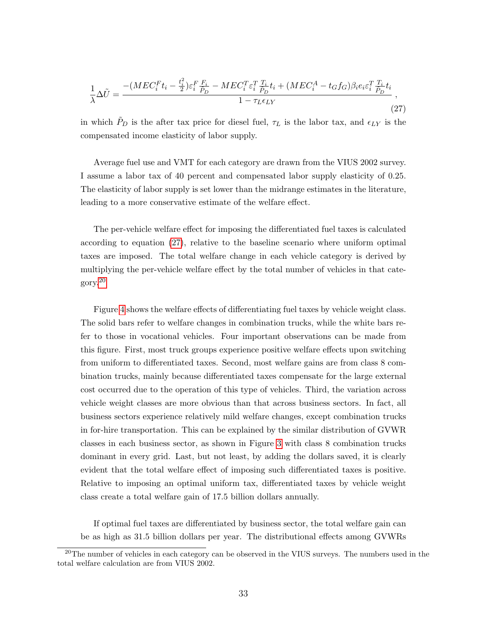<span id="page-32-0"></span>
$$
\frac{1}{\lambda}\Delta\tilde{U} = \frac{-(MEC_i^F t_i - \frac{t_i^2}{2})\varepsilon_i^F \frac{F_i}{\tilde{P}_D} - MEC_i^T \varepsilon_i^T \frac{T_i}{\tilde{P}_D} t_i + (MEC_i^A - t_G f_G)\beta_i e_i \varepsilon_i^T \frac{T_i}{\tilde{P}_D} t_i}{1 - \tau_L \epsilon_{LY}},
$$
\n(27)

in which  $\tilde{P}_D$  is the after tax price for diesel fuel,  $\tau_L$  is the labor tax, and  $\epsilon_{LY}$  is the compensated income elasticity of labor supply.

Average fuel use and VMT for each category are drawn from the VIUS 2002 survey. I assume a labor tax of 40 percent and compensated labor supply elasticity of 0.25. The elasticity of labor supply is set lower than the midrange estimates in the literature, leading to a more conservative estimate of the welfare effect.

The per-vehicle welfare effect for imposing the differentiated fuel taxes is calculated according to equation [\(27\)](#page-32-0), relative to the baseline scenario where uniform optimal taxes are imposed. The total welfare change in each vehicle category is derived by multiplying the per-vehicle welfare effect by the total number of vehicles in that category.[20](#page-0-0)

Figure [4](#page-33-0) shows the welfare effects of differentiating fuel taxes by vehicle weight class. The solid bars refer to welfare changes in combination trucks, while the white bars refer to those in vocational vehicles. Four important observations can be made from this figure. First, most truck groups experience positive welfare effects upon switching from uniform to differentiated taxes. Second, most welfare gains are from class 8 combination trucks, mainly because differentiated taxes compensate for the large external cost occurred due to the operation of this type of vehicles. Third, the variation across vehicle weight classes are more obvious than that across business sectors. In fact, all business sectors experience relatively mild welfare changes, except combination trucks in for-hire transportation. This can be explained by the similar distribution of GVWR classes in each business sector, as shown in Figure [3](#page-27-0) with class 8 combination trucks dominant in every grid. Last, but not least, by adding the dollars saved, it is clearly evident that the total welfare effect of imposing such differentiated taxes is positive. Relative to imposing an optimal uniform tax, differentiated taxes by vehicle weight class create a total welfare gain of 17.5 billion dollars annually.

If optimal fuel taxes are differentiated by business sector, the total welfare gain can be as high as 31.5 billion dollars per year. The distributional effects among GVWRs

<sup>&</sup>lt;sup>20</sup>The number of vehicles in each category can be observed in the VIUS surveys. The numbers used in the total welfare calculation are from VIUS 2002.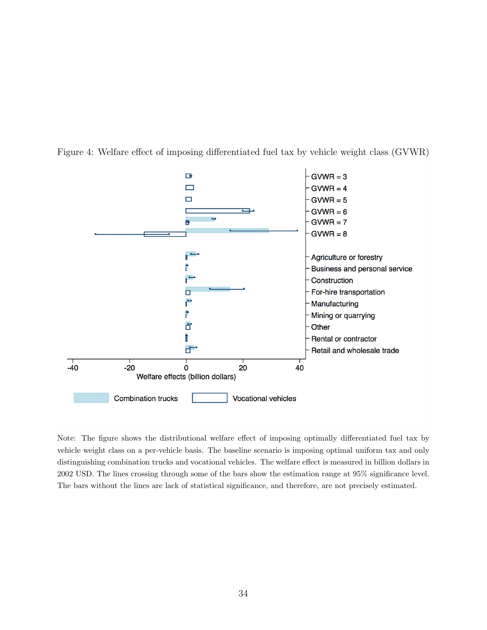

<span id="page-33-0"></span>Figure 4: Welfare effect of imposing differentiated fuel tax by vehicle weight class (GVWR)

Note: The figure shows the distributional welfare effect of imposing optimally differentiated fuel tax by vehicle weight class on a per-vehicle basis. The baseline scenario is imposing optimal uniform tax and only distinguishing combination trucks and vocational vehicles. The welfare effect is measured in billion dollars in 2002 USD. The lines crossing through some of the bars show the estimation range at 95% significance level. The bars without the lines are lack of statistical significance, and therefore, are not precisely estimated.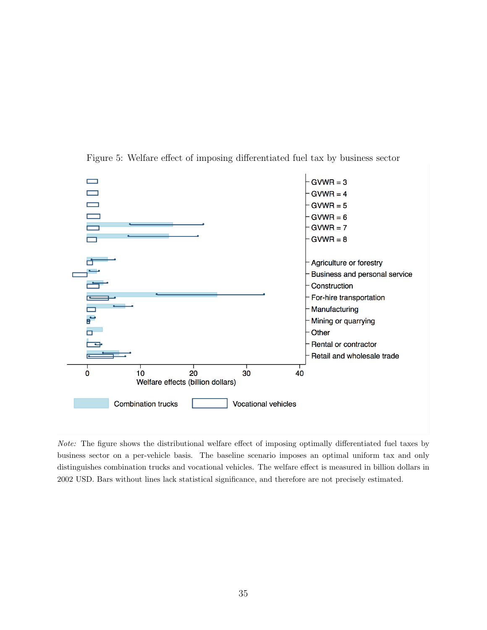

<span id="page-34-0"></span>Figure 5: Welfare effect of imposing differentiated fuel tax by business sector

Note: The figure shows the distributional welfare effect of imposing optimally differentiated fuel taxes by business sector on a per-vehicle basis. The baseline scenario imposes an optimal uniform tax and only distinguishes combination trucks and vocational vehicles. The welfare effect is measured in billion dollars in 2002 USD. Bars without lines lack statistical significance, and therefore are not precisely estimated.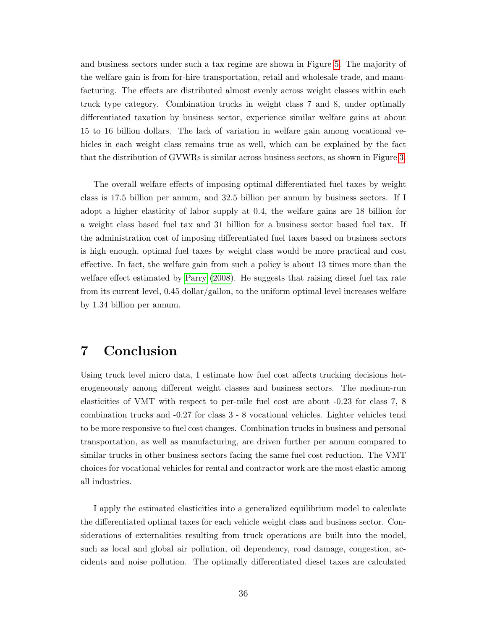and business sectors under such a tax regime are shown in Figure [5.](#page-34-0) The majority of the welfare gain is from for-hire transportation, retail and wholesale trade, and manufacturing. The effects are distributed almost evenly across weight classes within each truck type category. Combination trucks in weight class 7 and 8, under optimally differentiated taxation by business sector, experience similar welfare gains at about 15 to 16 billion dollars. The lack of variation in welfare gain among vocational vehicles in each weight class remains true as well, which can be explained by the fact that the distribution of GVWRs is similar across business sectors, as shown in Figure [3.](#page-27-0)

The overall welfare effects of imposing optimal differentiated fuel taxes by weight class is 17.5 billion per annum, and 32.5 billion per annum by business sectors. If I adopt a higher elasticity of labor supply at 0.4, the welfare gains are 18 billion for a weight class based fuel tax and 31 billion for a business sector based fuel tax. If the administration cost of imposing differentiated fuel taxes based on business sectors is high enough, optimal fuel taxes by weight class would be more practical and cost effective. In fact, the welfare gain from such a policy is about 13 times more than the welfare effect estimated by [Parry](#page-51-5) [\(2008\)](#page-51-5). He suggests that raising diesel fuel tax rate from its current level, 0.45 dollar/gallon, to the uniform optimal level increases welfare by 1.34 billion per annum.

## 7 Conclusion

Using truck level micro data, I estimate how fuel cost affects trucking decisions heterogeneously among different weight classes and business sectors. The medium-run elasticities of VMT with respect to per-mile fuel cost are about -0.23 for class 7, 8 combination trucks and -0.27 for class 3 - 8 vocational vehicles. Lighter vehicles tend to be more responsive to fuel cost changes. Combination trucks in business and personal transportation, as well as manufacturing, are driven further per annum compared to similar trucks in other business sectors facing the same fuel cost reduction. The VMT choices for vocational vehicles for rental and contractor work are the most elastic among all industries.

I apply the estimated elasticities into a generalized equilibrium model to calculate the differentiated optimal taxes for each vehicle weight class and business sector. Considerations of externalities resulting from truck operations are built into the model, such as local and global air pollution, oil dependency, road damage, congestion, accidents and noise pollution. The optimally differentiated diesel taxes are calculated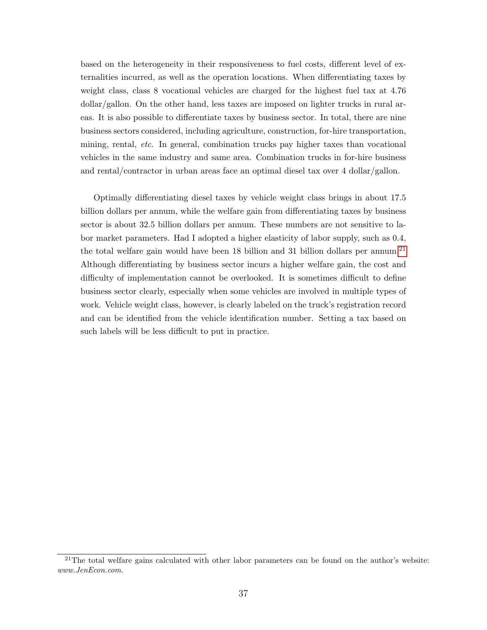based on the heterogeneity in their responsiveness to fuel costs, different level of externalities incurred, as well as the operation locations. When differentiating taxes by weight class, class 8 vocational vehicles are charged for the highest fuel tax at 4.76 dollar/gallon. On the other hand, less taxes are imposed on lighter trucks in rural areas. It is also possible to differentiate taxes by business sector. In total, there are nine business sectors considered, including agriculture, construction, for-hire transportation, mining, rental, etc. In general, combination trucks pay higher taxes than vocational vehicles in the same industry and same area. Combination trucks in for-hire business and rental/contractor in urban areas face an optimal diesel tax over 4 dollar/gallon.

Optimally differentiating diesel taxes by vehicle weight class brings in about 17.5 billion dollars per annum, while the welfare gain from differentiating taxes by business sector is about 32.5 billion dollars per annum. These numbers are not sensitive to labor market parameters. Had I adopted a higher elasticity of labor supply, such as 0.4, the total welfare gain would have been 18 billion and 31 billion dollars per annum.<sup>[21](#page-0-0)</sup> Although differentiating by business sector incurs a higher welfare gain, the cost and difficulty of implementation cannot be overlooked. It is sometimes difficult to define business sector clearly, especially when some vehicles are involved in multiple types of work. Vehicle weight class, however, is clearly labeled on the truck's registration record and can be identified from the vehicle identification number. Setting a tax based on such labels will be less difficult to put in practice.

 $21$ The total welfare gains calculated with other labor parameters can be found on the author's website: www.JenEcon.com.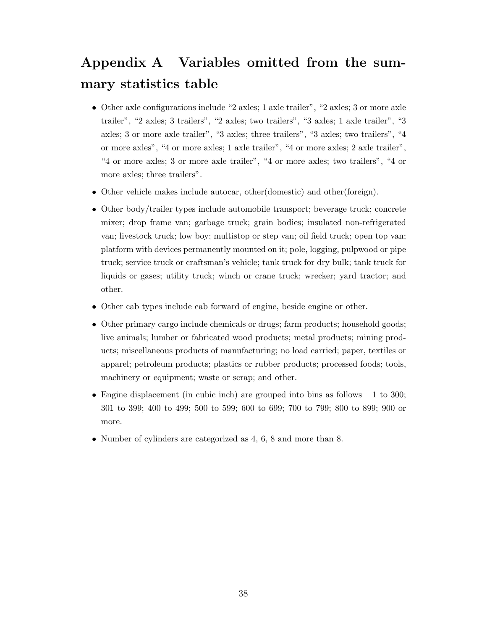## Appendix A Variables omitted from the summary statistics table

- Other axle configurations include "2 axles; 1 axle trailer", "2 axles; 3 or more axle trailer", "2 axles; 3 trailers", "2 axles; two trailers", "3 axles; 1 axle trailer", "3 axles; 3 or more axle trailer", "3 axles; three trailers", "3 axles; two trailers", "4 or more axles", "4 or more axles; 1 axle trailer", "4 or more axles; 2 axle trailer", "4 or more axles; 3 or more axle trailer", "4 or more axles; two trailers", "4 or more axles; three trailers".
- Other vehicle makes include autocar, other(domestic) and other(foreign).
- Other body/trailer types include automobile transport; beverage truck; concrete mixer; drop frame van; garbage truck; grain bodies; insulated non-refrigerated van; livestock truck; low boy; multistop or step van; oil field truck; open top van; platform with devices permanently mounted on it; pole, logging, pulpwood or pipe truck; service truck or craftsman's vehicle; tank truck for dry bulk; tank truck for liquids or gases; utility truck; winch or crane truck; wrecker; yard tractor; and other.
- Other cab types include cab forward of engine, beside engine or other.
- Other primary cargo include chemicals or drugs; farm products; household goods; live animals; lumber or fabricated wood products; metal products; mining products; miscellaneous products of manufacturing; no load carried; paper, textiles or apparel; petroleum products; plastics or rubber products; processed foods; tools, machinery or equipment; waste or scrap; and other.
- Engine displacement (in cubic inch) are grouped into bins as follows  $-1$  to 300; 301 to 399; 400 to 499; 500 to 599; 600 to 699; 700 to 799; 800 to 899; 900 or more.
- Number of cylinders are categorized as 4, 6, 8 and more than 8.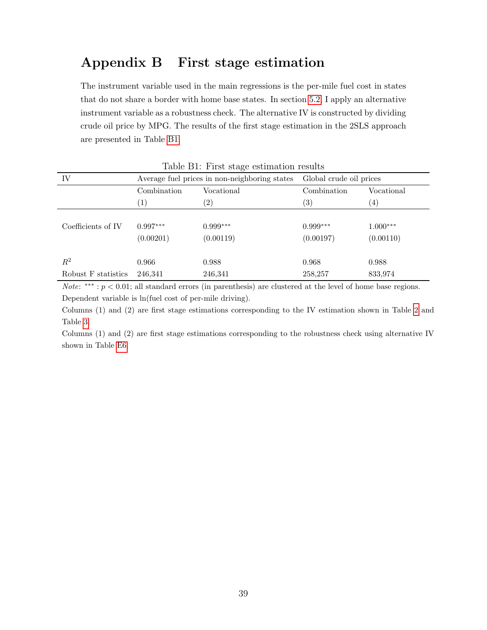## Appendix B First stage estimation

The instrument variable used in the main regressions is the per-mile fuel cost in states that do not share a border with home base states. In section [5.2,](#page-19-0) I apply an alternative instrument variable as a robustness check. The alternative IV is constructed by dividing crude oil price by MPG. The results of the first stage estimation in the 2SLS approach are presented in Table [B1.](#page-7-0)

| Table DI, I had been commanded for the |             |                                               |                         |                   |  |  |
|----------------------------------------|-------------|-----------------------------------------------|-------------------------|-------------------|--|--|
| IV                                     |             | Average fuel prices in non-neighboring states | Global crude oil prices |                   |  |  |
|                                        | Combination | Vocational                                    | Combination             | Vocational        |  |  |
|                                        | (1)         | $\left( 2\right)$                             | $\left( 3\right)$       | $\left( 4\right)$ |  |  |
|                                        |             |                                               |                         |                   |  |  |
| Coefficients of IV                     | $0.997***$  | $0.999***$                                    | $0.999***$              | $1.000***$        |  |  |
|                                        | (0.00201)   | (0.00119)                                     | (0.00197)               | (0.00110)         |  |  |
|                                        |             |                                               |                         |                   |  |  |
| $\mathbb{R}^2$                         | 0.966       | 0.988                                         | 0.968                   | 0.988             |  |  |
| Robust F statistics                    | 246,341     | 246,341                                       | 258,257                 | 833,974           |  |  |

Table B1: First stage estimation results

*Note*: \*\*\* :  $p < 0.01$ ; all standard errors (in parenthesis) are clustered at the level of home base regions. Dependent variable is ln(fuel cost of per-mile driving).

Columns (1) and (2) are first stage estimations corresponding to the IV estimation shown in Table [2](#page-12-0) and Table [3.](#page-13-0)

Columns (1) and (2) are first stage estimations corresponding to the robustness check using alternative IV shown in Table [E6.](#page-17-0)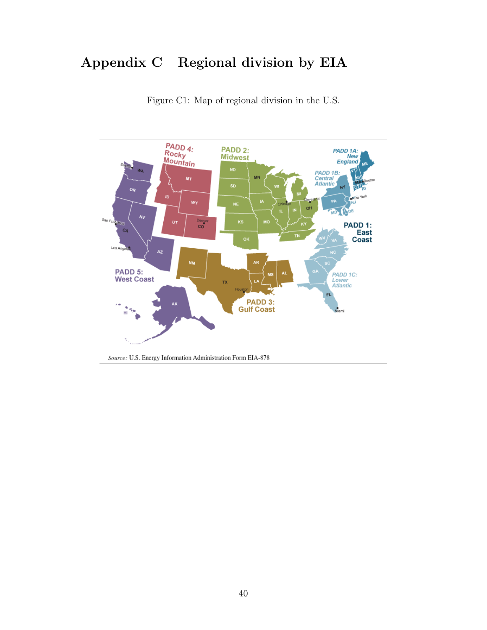## Appendix C Regional division by EIA



Figure C1: Map of regional division in the U.S.

Source: U.S. Energy Information Administration Form EIA-878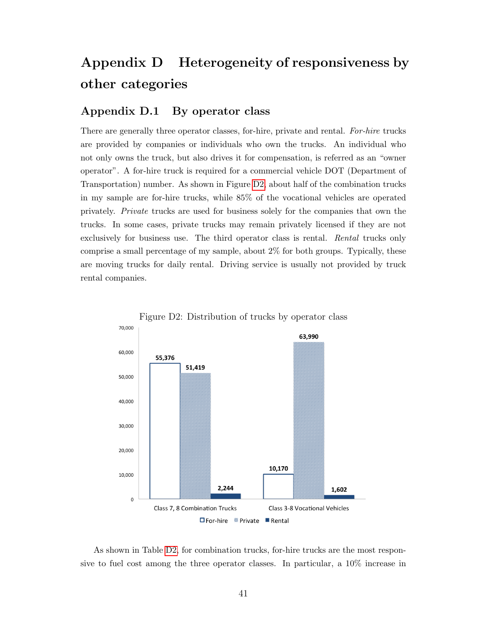## Appendix D Heterogeneity of responsiveness by other categories

#### Appendix D.1 By operator class

There are generally three operator classes, for-hire, private and rental. For-hire trucks are provided by companies or individuals who own the trucks. An individual who not only owns the truck, but also drives it for compensation, is referred as an "owner operator". A for-hire truck is required for a commercial vehicle DOT (Department of Transportation) number. As shown in Figure [D2,](#page-6-0) about half of the combination trucks in my sample are for-hire trucks, while 85% of the vocational vehicles are operated privately. Private trucks are used for business solely for the companies that own the trucks. In some cases, private trucks may remain privately licensed if they are not exclusively for business use. The third operator class is rental. Rental trucks only comprise a small percentage of my sample, about 2% for both groups. Typically, these are moving trucks for daily rental. Driving service is usually not provided by truck rental companies.





As shown in Table [D2,](#page-12-0) for combination trucks, for-hire trucks are the most responsive to fuel cost among the three operator classes. In particular, a 10% increase in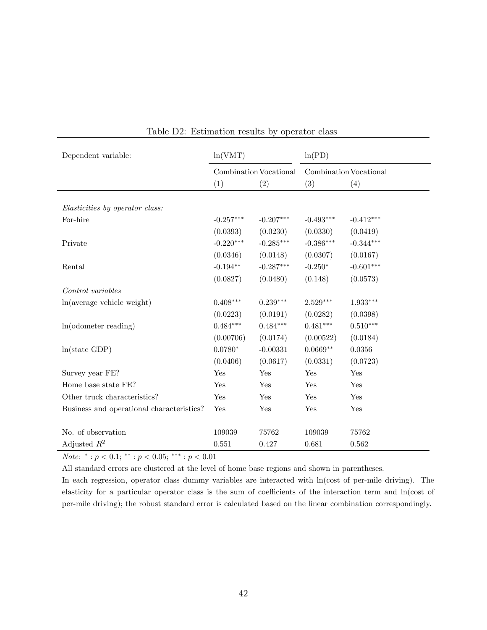| Dependent variable:                       | ln(VMT)     |                        | ln(PD)      |                        |  |  |
|-------------------------------------------|-------------|------------------------|-------------|------------------------|--|--|
|                                           |             | Combination Vocational |             | Combination Vocational |  |  |
|                                           | (1)         | (2)                    | (3)         | (4)                    |  |  |
|                                           |             |                        |             |                        |  |  |
| Elasticities by operator class:           |             |                        |             |                        |  |  |
| For-hire                                  | $-0.257***$ | $-0.207***$            | $-0.493***$ | $-0.412***$            |  |  |
|                                           | (0.0393)    | (0.0230)               | (0.0330)    | (0.0419)               |  |  |
| Private                                   | $-0.220***$ | $-0.285***$            | $-0.386***$ | $-0.344***$            |  |  |
|                                           | (0.0346)    | (0.0148)               | (0.0307)    | (0.0167)               |  |  |
| Rental                                    | $-0.194**$  | $-0.287***$            | $-0.250*$   | $-0.601***$            |  |  |
|                                           | (0.0827)    | (0.0480)               | (0.148)     | (0.0573)               |  |  |
| Control variables                         |             |                        |             |                        |  |  |
| ln(average vehicle weight)                | $0.408***$  | $0.239***$             | $2.529***$  | $1.933***$             |  |  |
|                                           | (0.0223)    | (0.0191)               | (0.0282)    | (0.0398)               |  |  |
| $ln($ odometer reading $)$                | $0.484***$  | $0.484***$             | $0.481***$  | $0.510***$             |  |  |
|                                           | (0.00706)   | (0.0174)               | (0.00522)   | (0.0184)               |  |  |
| ln(state GDP)                             | $0.0780*$   | $-0.00331$             | $0.0669**$  | 0.0356                 |  |  |
|                                           | (0.0406)    | (0.0617)               | (0.0331)    | (0.0723)               |  |  |
| Survey year FE?                           | Yes         | Yes                    | Yes         | Yes                    |  |  |
| Home base state FE?                       | Yes         | Yes                    | Yes         | Yes                    |  |  |
| Other truck characteristics?              | Yes         | Yes                    | Yes         | Yes                    |  |  |
| Business and operational characteristics? | Yes         | Yes                    | Yes         | Yes                    |  |  |
|                                           |             |                        |             |                        |  |  |
| No. of observation                        | 109039      | 75762                  | 109039      | 75762                  |  |  |
| Adjusted $R^2$                            | 0.551       | 0.427                  | 0.681       | 0.562                  |  |  |

Table D2: Estimation results by operator class

*Note*:  $^*$  :  $p < 0.1$ ;  $^{**}$  :  $p < 0.05$ ;  $^{***}$  :  $p < 0.01$ 

All standard errors are clustered at the level of home base regions and shown in parentheses.

In each regression, operator class dummy variables are interacted with ln(cost of per-mile driving). The elasticity for a particular operator class is the sum of coefficients of the interaction term and ln(cost of per-mile driving); the robust standard error is calculated based on the linear combination correspondingly.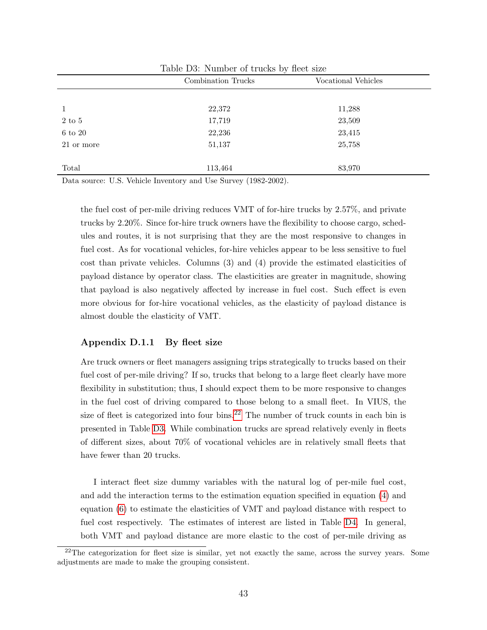|                  | Combination Trucks |        |  |  |
|------------------|--------------------|--------|--|--|
|                  |                    |        |  |  |
|                  | 22,372             | 11,288 |  |  |
| $2\ {\rm to}\ 5$ | 17,719             | 23,509 |  |  |
| $6$ to $20\,$    | 22,236             | 23,415 |  |  |
| 21 or more       | 51,137             | 25,758 |  |  |
|                  |                    |        |  |  |
| Total            | 113,464            | 83,970 |  |  |

Table D3: Number of trucks by fleet size

Data source: U.S. Vehicle Inventory and Use Survey (1982-2002).

the fuel cost of per-mile driving reduces VMT of for-hire trucks by 2.57%, and private trucks by 2.20%. Since for-hire truck owners have the flexibility to choose cargo, schedules and routes, it is not surprising that they are the most responsive to changes in fuel cost. As for vocational vehicles, for-hire vehicles appear to be less sensitive to fuel cost than private vehicles. Columns (3) and (4) provide the estimated elasticities of payload distance by operator class. The elasticities are greater in magnitude, showing that payload is also negatively affected by increase in fuel cost. Such effect is even more obvious for for-hire vocational vehicles, as the elasticity of payload distance is almost double the elasticity of VMT.

#### Appendix D.1.1 By fleet size

Are truck owners or fleet managers assigning trips strategically to trucks based on their fuel cost of per-mile driving? If so, trucks that belong to a large fleet clearly have more flexibility in substitution; thus, I should expect them to be more responsive to changes in the fuel cost of driving compared to those belong to a small fleet. In VIUS, the size of fleet is categorized into four bins.<sup>[22](#page-0-0)</sup> The number of truck counts in each bin is presented in Table [D3.](#page-13-0) While combination trucks are spread relatively evenly in fleets of different sizes, about 70% of vocational vehicles are in relatively small fleets that have fewer than 20 trucks.

I interact fleet size dummy variables with the natural log of per-mile fuel cost, and add the interaction terms to the estimation equation specified in equation [\(4\)](#page-9-1) and equation [\(6\)](#page-9-3) to estimate the elasticities of VMT and payload distance with respect to fuel cost respectively. The estimates of interest are listed in Table [D4.](#page-15-0) In general, both VMT and payload distance are more elastic to the cost of per-mile driving as

 $^{22}$ The categorization for fleet size is similar, yet not exactly the same, across the survey years. Some adjustments are made to make the grouping consistent.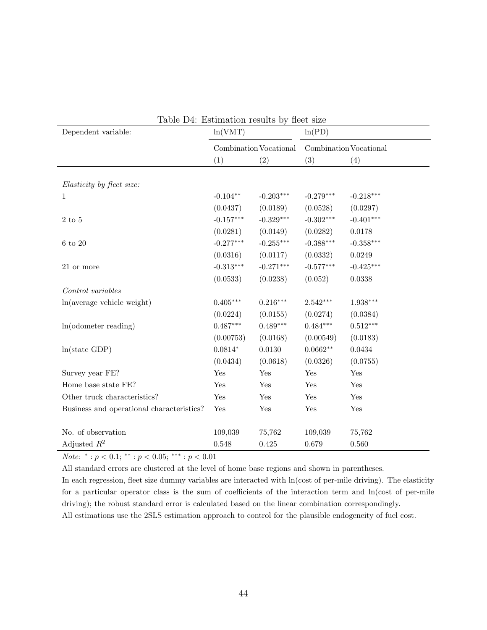| Table D4: Estimation results by fleet size |             |                        |             |                        |
|--------------------------------------------|-------------|------------------------|-------------|------------------------|
| Dependent variable:                        | ln(VMT)     |                        | ln(PD)      |                        |
|                                            |             | Combination Vocational |             | Combination Vocational |
|                                            | (1)         | (2)                    | (3)         | (4)                    |
|                                            |             |                        |             |                        |
| Elasticity by fleet size:                  |             |                        |             |                        |
| $\mathbf 1$                                | $-0.104**$  | $-0.203***$            | $-0.279***$ | $-0.218***$            |
|                                            | (0.0437)    | (0.0189)               | (0.0528)    | (0.0297)               |
| $2$ to $5$                                 | $-0.157***$ | $-0.329***$            | $-0.302***$ | $-0.401***$            |
|                                            | (0.0281)    | (0.0149)               | (0.0282)    | 0.0178                 |
| $6$ to $20\,$                              | $-0.277***$ | $-0.255***$            | $-0.388***$ | $-0.358***$            |
|                                            | (0.0316)    | (0.0117)               | (0.0332)    | 0.0249                 |
| 21 or more                                 | $-0.313***$ | $-0.271***$            | $-0.577***$ | $-0.425***$            |
|                                            | (0.0533)    | (0.0238)               | (0.052)     | 0.0338                 |
| Control variables                          |             |                        |             |                        |
| ln(average vehicle weight)                 | $0.405***$  | $0.216***$             | $2.542***$  | $1.938***$             |
|                                            | (0.0224)    | (0.0155)               | (0.0274)    | (0.0384)               |
| $ln($ odometer reading $)$                 | $0.487***$  | $0.489***$             | $0.484***$  | $0.512***$             |
|                                            | (0.00753)   | (0.0168)               | (0.00549)   | (0.0183)               |
| ln(state GDP)                              | $0.0814*$   | 0.0130                 | $0.0662**$  | 0.0434                 |
|                                            | (0.0434)    | (0.0618)               | (0.0326)    | (0.0755)               |
| Survey year FE?                            | Yes         | Yes                    | Yes         | Yes                    |
| Home base state FE?                        | Yes         | Yes                    | Yes         | Yes                    |
| Other truck characteristics?               | Yes         | Yes                    | Yes         | Yes                    |
| Business and operational characteristics?  | Yes         | Yes                    | Yes         | Yes                    |
|                                            |             |                        |             |                        |
| No. of observation                         | 109,039     | 75,762                 | 109,039     | 75,762                 |
| Adjusted $R^2$                             | 0.548       | 0.425                  | 0.679       | 0.560                  |

|  | Table D4: Estimation results by fleet size |  |  |  |  |
|--|--------------------------------------------|--|--|--|--|
|--|--------------------------------------------|--|--|--|--|

*Note*:  $^*$  :  $p < 0.1$ ;  $^{**}$  :  $p < 0.05$ ;  $^{***}$  :  $p < 0.01$ 

All standard errors are clustered at the level of home base regions and shown in parentheses.

In each regression, fleet size dummy variables are interacted with  $ln(cost of per-mile driving)$ . The elasticity for a particular operator class is the sum of coefficients of the interaction term and ln(cost of per-mile driving); the robust standard error is calculated based on the linear combination correspondingly.

All estimations use the 2SLS estimation approach to control for the plausible endogeneity of fuel cost.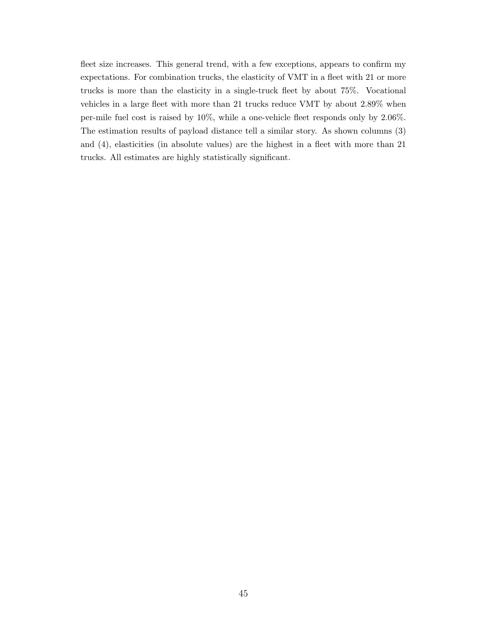fleet size increases. This general trend, with a few exceptions, appears to confirm my expectations. For combination trucks, the elasticity of VMT in a fleet with 21 or more trucks is more than the elasticity in a single-truck fleet by about 75%. Vocational vehicles in a large fleet with more than 21 trucks reduce VMT by about 2.89% when per-mile fuel cost is raised by 10%, while a one-vehicle fleet responds only by 2.06%. The estimation results of payload distance tell a similar story. As shown columns (3) and (4), elasticities (in absolute values) are the highest in a fleet with more than 21 trucks. All estimates are highly statistically significant.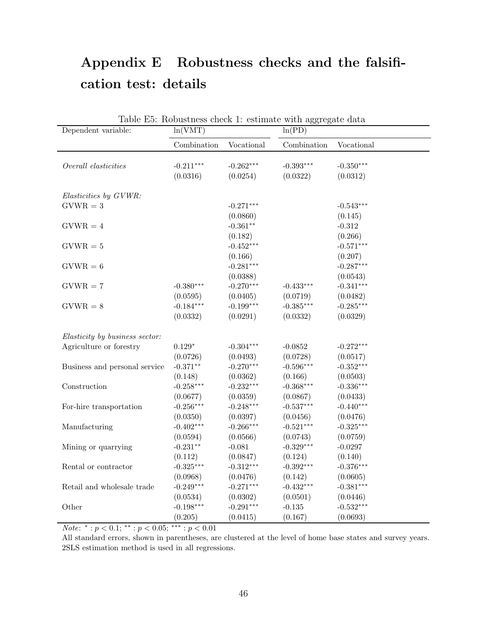## Appendix E Robustness checks and the falsification test: details

| Dependent variable:            | ln(VMT)     |             | Table E5: RODUSthess check 1: estimate with aggregate data<br>ln(PD) |             |
|--------------------------------|-------------|-------------|----------------------------------------------------------------------|-------------|
|                                | Combination | Vocational  | Combination                                                          | Vocational  |
| Overall elasticities           | $-0.211***$ | $-0.262***$ | $-0.393***$                                                          | $-0.350***$ |
|                                | (0.0316)    | (0.0254)    | (0.0322)                                                             | (0.0312)    |
|                                |             |             |                                                                      |             |
| Elasticities by GVWR:          |             |             |                                                                      |             |
| $GVWR = 3$                     |             | $-0.271***$ |                                                                      | $-0.543***$ |
|                                |             | (0.0860)    |                                                                      | (0.145)     |
| $GVWR = 4$                     |             | $-0.361**$  |                                                                      | $-0.312$    |
|                                |             | (0.182)     |                                                                      | (0.266)     |
| $GVWR = 5$                     |             | $-0.452***$ |                                                                      | $-0.571***$ |
|                                |             | (0.166)     |                                                                      | (0.207)     |
| $GVWR = 6$                     |             | $-0.281***$ |                                                                      | $-0.287***$ |
|                                |             | (0.0388)    |                                                                      | (0.0543)    |
| $GVWR = 7$                     | $-0.380***$ | $-0.270***$ | $-0.433***$                                                          | $-0.341***$ |
|                                | (0.0595)    | (0.0405)    | (0.0719)                                                             | (0.0482)    |
| $GVWR = 8$                     | $-0.184***$ | $-0.199***$ | $-0.385***$                                                          | $-0.285***$ |
|                                | (0.0332)    | (0.0291)    | (0.0332)                                                             | (0.0329)    |
|                                |             |             |                                                                      |             |
| Elasticity by business sector: |             |             |                                                                      |             |
| Agriculture or forestry        | $0.129*$    | $-0.304***$ | $-0.0852$                                                            | $-0.272***$ |
|                                | (0.0726)    | (0.0493)    | (0.0728)                                                             | (0.0517)    |
| Business and personal service  | $-0.371**$  | $-0.270***$ | $-0.596***$                                                          | $-0.352***$ |
|                                | (0.148)     | (0.0362)    | (0.166)                                                              | (0.0503)    |
| Construction                   | $-0.258***$ | $-0.232***$ | $-0.368***$                                                          | $-0.336***$ |
|                                | (0.0677)    | (0.0359)    | (0.0867)                                                             | (0.0433)    |
| For-hire transportation        | $-0.256***$ | $-0.248***$ | $-0.537***$                                                          | $-0.440***$ |
|                                | (0.0350)    | (0.0397)    | (0.0456)                                                             | (0.0476)    |
| Manufacturing                  | $-0.402***$ | $-0.266***$ | $-0.521***$                                                          | $-0.325***$ |
|                                | (0.0594)    | (0.0566)    | (0.0743)                                                             | (0.0759)    |
| Mining or quarrying            | $-0.231**$  | $-0.081$    | $-0.329***$                                                          | $-0.0297$   |
|                                | (0.112)     | (0.0847)    | (0.124)                                                              | (0.140)     |
| Rental or contractor           | $-0.325***$ | $-0.312***$ | $-0.392***$                                                          | $-0.376***$ |
|                                | (0.0968)    | (0.0476)    | (0.142)                                                              | (0.0605)    |
| Retail and wholesale trade     | $-0.249***$ | $-0.271***$ | $-0.432***$                                                          | $-0.381***$ |
|                                | (0.0534)    | (0.0302)    | (0.0501)                                                             | (0.0446)    |
| Other                          | $-0.198***$ | $-0.291***$ | $-0.135$                                                             | $-0.532***$ |
|                                | (0.205)     | (0.0415)    | (0.167)                                                              | (0.0693)    |

 $Table E5: Rohuctnose check 1: estimate with a general data.$ 

*Note*: \*: $p < 0.1$ ; \*\*: $p < 0.05$ ; \*\*\*: $p < 0.01$ 

All standard errors, shown in parentheses, are clustered at the level of home base states and survey years. 2SLS estimation method is used in all regressions.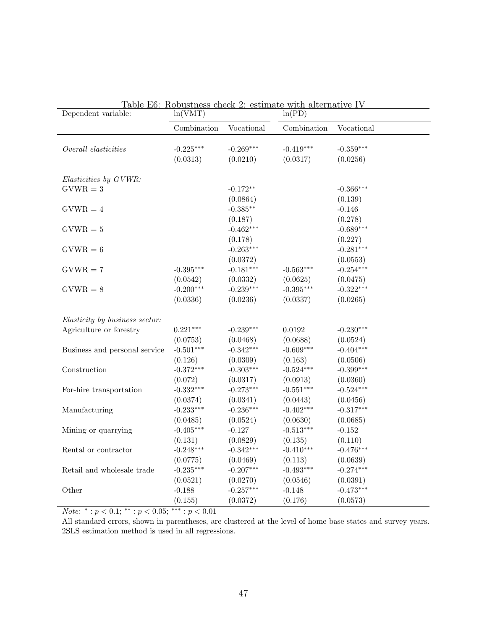| Dependent variable:            | ln(VMT)                 |                         | <u>rable E0. Robustliess clieck 2. estimate with alternative TV</u><br>ln(PD) |                         |
|--------------------------------|-------------------------|-------------------------|-------------------------------------------------------------------------------|-------------------------|
|                                | Combination             | Vocational              | Combination                                                                   | Vocational              |
| Overall elasticities           | $-0.225***$<br>(0.0313) | $-0.269***$<br>(0.0210) | $-0.419***$<br>(0.0317)                                                       | $-0.359***$<br>(0.0256) |
| Elasticities by GVWR:          |                         |                         |                                                                               |                         |
| $GVWR = 3$                     |                         | $-0.172**$              |                                                                               | $-0.366***$             |
|                                |                         | (0.0864)                |                                                                               | (0.139)                 |
| $GVWR = 4$                     |                         | $-0.385**$              |                                                                               | $-0.146$                |
|                                |                         | (0.187)                 |                                                                               | (0.278)                 |
| $GVWR = 5$                     |                         | $-0.462***$             |                                                                               | $-0.689***$             |
|                                |                         | (0.178)                 |                                                                               | (0.227)                 |
| $GVWR = 6$                     |                         | $-0.263***$             |                                                                               | $-0.281***$             |
|                                |                         | (0.0372)                |                                                                               | (0.0553)                |
| $GVWR = 7$                     | $-0.395***$             | $-0.181***$             | $-0.563***$                                                                   | $-0.254***$             |
|                                | (0.0542)                | (0.0332)                | (0.0625)                                                                      | (0.0475)                |
| $GVWR = 8$                     | $-0.200***$             | $-0.239***$             | $-0.395***$                                                                   | $-0.322***$             |
|                                | (0.0336)                | (0.0236)                | (0.0337)                                                                      | (0.0265)                |
| Elasticity by business sector: |                         |                         |                                                                               |                         |
| Agriculture or forestry        | $0.221***$              | $-0.239***$             | 0.0192                                                                        | $-0.230***$             |
|                                | (0.0753)                | (0.0468)                | (0.0688)                                                                      | (0.0524)                |
| Business and personal service  | $-0.501***$             | $-0.342***$             | $-0.609***$                                                                   | $-0.404***$             |
|                                | (0.126)                 | (0.0309)                | (0.163)                                                                       | (0.0506)                |
| Construction                   | $-0.372***$             | $-0.303***$             | $-0.524***$                                                                   | $-0.399***$             |
|                                | (0.072)                 | (0.0317)                | (0.0913)                                                                      | (0.0360)                |
| For-hire transportation        | $-0.332***$             | $-0.273***$             | $-0.551***$                                                                   | $-0.524***$             |
|                                | (0.0374)                | (0.0341)                | (0.0443)                                                                      | (0.0456)                |
| Manufacturing                  | $-0.233***$             | $-0.236***$             | $-0.402***$                                                                   | $-0.317***$             |
|                                | (0.0485)                | (0.0524)                | (0.0630)                                                                      | (0.0685)                |
| Mining or quarrying            | $-0.405***$             | $-0.127$                | $-0.513***$                                                                   | $-0.152$                |
|                                | (0.131)                 | (0.0829)                | (0.135)                                                                       | (0.110)                 |
| Rental or contractor           | $-0.248***$             | $-0.342***$             | $-0.410***$                                                                   | $-0.476***$             |
|                                | (0.0775)                | (0.0469)                | (0.113)                                                                       | (0.0639)                |
| Retail and wholesale trade     | $-0.235***$             | $-0.207***$             | $-0.493***$                                                                   | $-0.274***$             |
|                                | (0.0521)                | (0.0270)                | (0.0546)                                                                      | (0.0391)                |
| Other                          | $-0.188$                | $-0.257***$             | $-0.148$                                                                      | $-0.473***$             |
|                                | (0.155)                 | (0.0372)                | (0.176)                                                                       | (0.0573)                |

Table E6: Robustness check 2: estimate with alternative IV

*Note*: \*: $p < 0.1$ ; \*\*: $p < 0.05$ ; \*\*\*: $p < 0.01$ 

All standard errors, shown in parentheses, are clustered at the level of home base states and survey years. 2SLS estimation method is used in all regressions.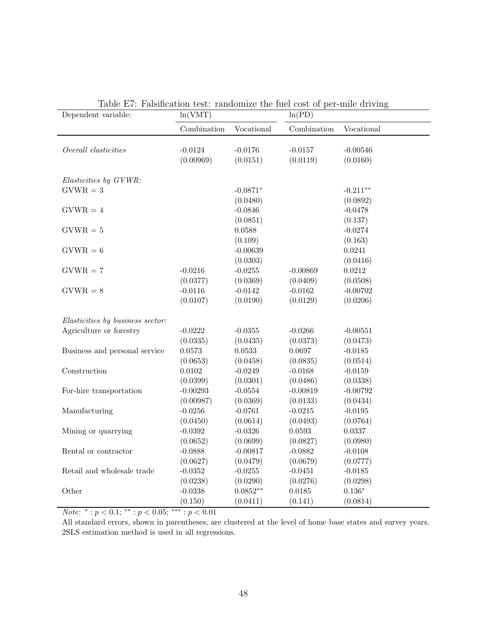| Dependent variable:              | ln(VMT)     |            | ln(PD)      |            |  |
|----------------------------------|-------------|------------|-------------|------------|--|
|                                  | Combination | Vocational | Combination | Vocational |  |
| Overall elasticities             | $-0.0124$   | $-0.0176$  | $-0.0157$   | $-0.00546$ |  |
|                                  | (0.00969)   | (0.0151)   | (0.0119)    | (0.0160)   |  |
|                                  |             |            |             |            |  |
| Elasticities by GVWR:            |             |            |             |            |  |
| $\mathrm{GVWR}=3$                |             | $-0.0871*$ |             | $-0.211**$ |  |
|                                  |             | (0.0480)   |             | (0.0892)   |  |
| $GVWR = 4$                       |             | $-0.0846$  |             | $-0.0478$  |  |
|                                  |             | (0.0851)   |             | (0.137)    |  |
| $GVWR = 5$                       |             | 0.0588     |             | $-0.0274$  |  |
|                                  |             | (0.109)    |             | (0.163)    |  |
| $GVWR = 6$                       |             | $-0.00639$ |             | 0.0241     |  |
|                                  |             | (0.0303)   |             | (0.0416)   |  |
| $GVWR = 7$                       | $-0.0216$   | $-0.0255$  | $-0.00869$  | 0.0212     |  |
|                                  | (0.0377)    | (0.0369)   | (0.0409)    | (0.0508)   |  |
| $GVWR = 8$                       | $-0.0116$   | $-0.0142$  | $-0.0162$   | $-0.00702$ |  |
|                                  | (0.0107)    | (0.0190)   | (0.0129)    | (0.0206)   |  |
| Elasticities by business sector: |             |            |             |            |  |
| Agriculture or forestry          | $-0.0222$   | $-0.0355$  | $-0.0266$   | $-0.00551$ |  |
|                                  | (0.0335)    | (0.0435)   | (0.0373)    | (0.0473)   |  |
| Business and personal service    | 0.0573      | 0.0533     | 0.0697      | $-0.0185$  |  |
|                                  | (0.0653)    | (0.0458)   | (0.0835)    | (0.0514)   |  |
| Construction                     | 0.0102      | $-0.0249$  | $-0.0168$   | $-0.0159$  |  |
|                                  | (0.0399)    | (0.0301)   | (0.0486)    | (0.0338)   |  |
| For-hire transportation          | $-0.00293$  | $-0.0554$  | $-0.00819$  | $-0.00792$ |  |
|                                  | (0.00987)   | (0.0369)   | (0.0133)    | (0.0434)   |  |
| Manufacturing                    | $-0.0256$   | $-0.0761$  | $-0.0215$   | $-0.0195$  |  |
|                                  | (0.0450)    | (0.0614)   | (0.0493)    | (0.0764)   |  |
| Mining or quarrying              | $-0.0392$   | $-0.0326$  | 0.0593      | 0.0337     |  |
|                                  | (0.0652)    | (0.0699)   | (0.0827)    | (0.0980)   |  |
| Rental or contractor             | $-0.0888$   | $-0.00817$ | $-0.0882$   | $-0.0108$  |  |
|                                  | (0.0627)    | (0.0479)   | (0.0679)    | (0.0777)   |  |
| Retail and wholesale trade       | $-0.0352$   | $-0.0255$  | $-0.0451$   | $-0.0185$  |  |
|                                  | (0.0238)    | (0.0290)   | (0.0276)    | (0.0298)   |  |
| Other                            | $-0.0338$   | $0.0852**$ | 0.0185      | $0.136*$   |  |
|                                  | (0.150)     | (0.0411)   | (0.141)     | (0.0814)   |  |

| Table E7: Falsification test: randomize the fuel cost of per-mile driving |  |  |  |  |
|---------------------------------------------------------------------------|--|--|--|--|
|                                                                           |  |  |  |  |

*Note*: \*: $p < 0.1$ ; \*\*: $p < 0.05$ ; \*\*\*: $p < 0.01$ 

All standard errors, shown in parentheses, are clustered at the level of home base states and survey years. 2SLS estimation method is used in all regressions.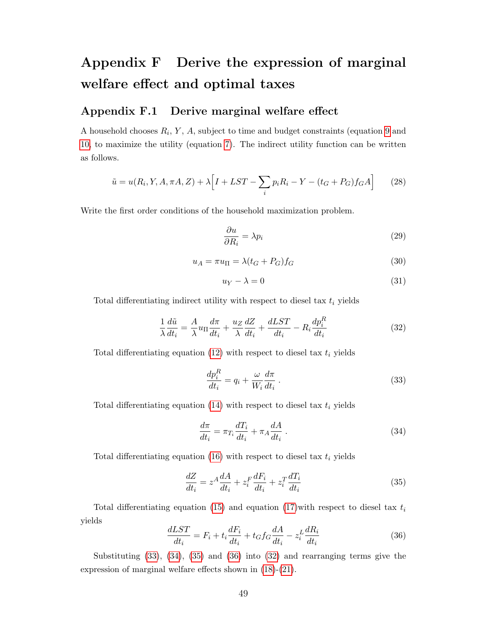## Appendix F Derive the expression of marginal welfare effect and optimal taxes

### Appendix F.1 Derive marginal welfare effect

A household chooses  $R_i$ , Y, A, subject to time and budget constraints (equation [9](#page-21-0) and [10,](#page-21-1) to maximize the utility (equation [7\)](#page-20-1). The indirect utility function can be written as follows.

$$
\tilde{u} = u(R_i, Y, A, \pi A, Z) + \lambda \Big[ I + LST - \sum_i p_i R_i - Y - (t_G + P_G) f_G A \Big] \tag{28}
$$

Write the first order conditions of the household maximization problem.

$$
\frac{\partial u}{\partial R_i} = \lambda p_i \tag{29}
$$

$$
u_A = \pi u_\Pi = \lambda (t_G + P_G) f_G \tag{30}
$$

$$
u_Y - \lambda = 0 \tag{31}
$$

Total differentiating indirect utility with respect to diesel tax  $t_i$  yields

<span id="page-48-4"></span>
$$
\frac{1}{\lambda} \frac{d\tilde{u}}{dt_i} = \frac{A}{\lambda} u_{\Pi} \frac{d\pi}{dt_i} + \frac{u_Z}{\lambda} \frac{dZ}{dt_i} + \frac{dLST}{dt_i} - R_i \frac{dp_i^R}{dt_i}
$$
(32)

Total differentiating equation [\(12\)](#page-21-2) with respect to diesel tax  $t_i$  yields

<span id="page-48-0"></span>
$$
\frac{dp_i^R}{dt_i} = q_i + \frac{\omega}{W_i} \frac{d\pi}{dt_i} \,. \tag{33}
$$

Total differentiating equation  $(14)$  with respect to diesel tax  $t_i$  yields

<span id="page-48-1"></span>
$$
\frac{d\pi}{dt_i} = \pi_{T_i} \frac{dT_i}{dt_i} + \pi_A \frac{dA}{dt_i} \,. \tag{34}
$$

Total differentiating equation [\(16\)](#page-22-1) with respect to diesel tax  $t_i$  yields

<span id="page-48-2"></span>
$$
\frac{dZ}{dt_i} = z^A \frac{dA}{dt_i} + z_i^F \frac{dF_i}{dt_i} + z_i^T \frac{dT_i}{dt_i}
$$
\n(35)

Total differentiating equation [\(15\)](#page-22-2) and equation [\(17\)](#page-22-3)with respect to diesel tax  $t_i$ yields

<span id="page-48-3"></span>
$$
\frac{dLST}{dt_i} = F_i + t_i \frac{dF_i}{dt_i} + t_G f_G \frac{dA}{dt_i} - z_i^L \frac{dR_i}{dt_i}
$$
\n(36)

Substituting [\(33\)](#page-48-0), [\(34\)](#page-48-1), [\(35\)](#page-48-2) and [\(36\)](#page-48-3) into [\(32\)](#page-48-4) and rearranging terms give the expression of marginal welfare effects shown in [\(18\)](#page-23-5)-[\(21\)](#page-23-2).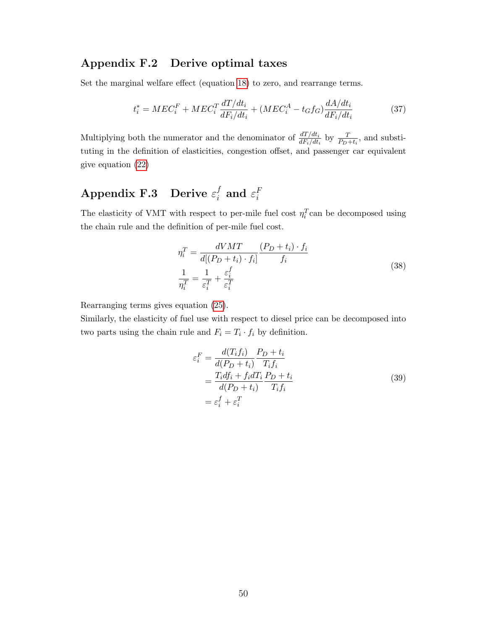### Appendix F.2 Derive optimal taxes

Set the marginal welfare effect (equation [18\)](#page-23-5) to zero, and rearrange terms.

$$
t_i^* = MEC_i^F + MEC_i^T \frac{dT/dt_i}{dF_i/dt_i} + (MEC_i^A - t_Gf_G)\frac{dA/dt_i}{dF_i/dt_i}
$$
(37)

Multiplying both the numerator and the denominator of  $\frac{dT/dt_i}{dF_i/dt_i}$  by  $\frac{T}{P_D+t_i}$ , and substituting in the definition of elasticities, congestion offset, and passenger car equivalent give equation [\(22\)](#page-23-4)

#### Appendix F.3 Derive  $\varepsilon_i^f$  $_i^f$  and  $\varepsilon_i^F$ i

The elasticity of VMT with respect to per-mile fuel cost  $\eta_i^T$ can be decomposed using the chain rule and the definition of per-mile fuel cost.

$$
\eta_i^T = \frac{dVMT}{d[(P_D + t_i) \cdot f_i]} \frac{(P_D + t_i) \cdot f_i}{f_i}
$$
\n
$$
\frac{1}{\eta_i^T} = \frac{1}{\varepsilon_i^T} + \frac{\varepsilon_i^f}{\varepsilon_i^T}
$$
\n(38)

Rearranging terms gives equation [\(25\)](#page-24-0).

Similarly, the elasticity of fuel use with respect to diesel price can be decomposed into two parts using the chain rule and  $F_i = T_i \cdot f_i$  by definition.

$$
\varepsilon_i^F = \frac{d(T_i f_i)}{d(P_D + t_i)} \frac{P_D + t_i}{T_i f_i}
$$
  
= 
$$
\frac{T_i df_i + f_i dT_i}{d(P_D + t_i)} \frac{P_D + t_i}{T_i f_i}
$$
  
= 
$$
\varepsilon_i^f + \varepsilon_i^T
$$
 (39)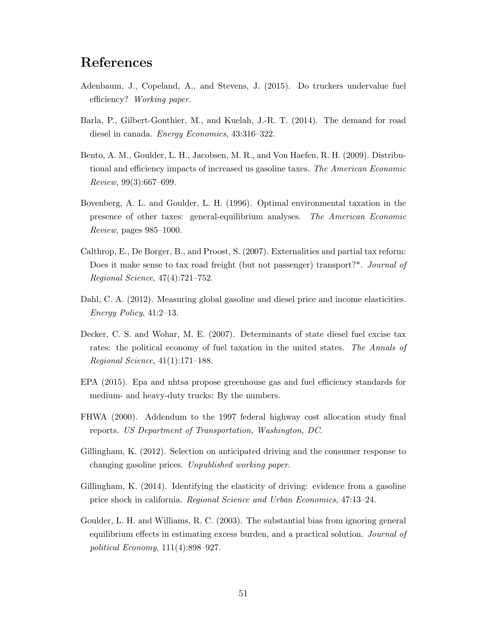## References

- <span id="page-50-4"></span>Adenbaum, J., Copeland, A., and Stevens, J. (2015). Do truckers undervalue fuel efficiency? Working paper.
- <span id="page-50-3"></span>Barla, P., Gilbert-Gonthier, M., and Kuelah, J.-R. T. (2014). The demand for road diesel in canada. Energy Economics, 43:316–322.
- <span id="page-50-8"></span>Bento, A. M., Goulder, L. H., Jacobsen, M. R., and Von Haefen, R. H. (2009). Distributional and efficiency impacts of increased us gasoline taxes. The American Economic Review, 99(3):667–699.
- <span id="page-50-5"></span>Bovenberg, A. L. and Goulder, L. H. (1996). Optimal environmental taxation in the presence of other taxes: general-equilibrium analyses. The American Economic Review, pages 985–1000.
- <span id="page-50-7"></span>Calthrop, E., De Borger, B., and Proost, S. (2007). Externalities and partial tax reform: Does it make sense to tax road freight (but not passenger) transport?\*. Journal of Regional Science, 47(4):721–752.
- <span id="page-50-2"></span>Dahl, C. A. (2012). Measuring global gasoline and diesel price and income elasticities. Energy Policy, 41:2–13.
- <span id="page-50-1"></span>Decker, C. S. and Wohar, M. E. (2007). Determinants of state diesel fuel excise tax rates: the political economy of fuel taxation in the united states. The Annals of Regional Science, 41(1):171–188.
- <span id="page-50-0"></span>EPA (2015). Epa and nhtsa propose greenhouse gas and fuel efficiency standards for medium- and heavy-duty trucks: By the numbers.
- <span id="page-50-11"></span>FHWA (2000). Addendum to the 1997 federal highway cost allocation study final reports. US Department of Transportation, Washington, DC.
- <span id="page-50-9"></span>Gillingham, K. (2012). Selection on anticipated driving and the consumer response to changing gasoline prices. Unpublished working paper.
- <span id="page-50-10"></span>Gillingham, K. (2014). Identifying the elasticity of driving: evidence from a gasoline price shock in california. Regional Science and Urban Economics, 47:13–24.
- <span id="page-50-6"></span>Goulder, L. H. and Williams, R. C. (2003). The substantial bias from ignoring general equilibrium effects in estimating excess burden, and a practical solution. Journal of political Economy, 111(4):898–927.